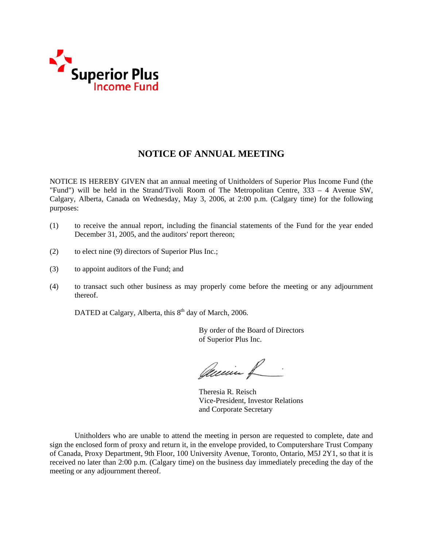

# **NOTICE OF ANNUAL MEETING**

NOTICE IS HEREBY GIVEN that an annual meeting of Unitholders of Superior Plus Income Fund (the "Fund") will be held in the Strand/Tivoli Room of The Metropolitan Centre, 333 – 4 Avenue SW, Calgary, Alberta, Canada on Wednesday, May 3, 2006, at 2:00 p.m. (Calgary time) for the following purposes:

- (1) to receive the annual report, including the financial statements of the Fund for the year ended December 31, 2005, and the auditors' report thereon;
- (2) to elect nine (9) directors of Superior Plus Inc.;
- (3) to appoint auditors of the Fund; and
- (4) to transact such other business as may properly come before the meeting or any adjournment thereof.

DATED at Calgary, Alberta, this  $8<sup>th</sup>$  day of March, 2006.

 By order of the Board of Directors of Superior Plus Inc.

Quein R

 Theresia R. Reisch Vice-President, Investor Relations and Corporate Secretary

Unitholders who are unable to attend the meeting in person are requested to complete, date and sign the enclosed form of proxy and return it, in the envelope provided, to Computershare Trust Company of Canada, Proxy Department, 9th Floor, 100 University Avenue, Toronto, Ontario, M5J 2Y1, so that it is received no later than 2:00 p.m. (Calgary time) on the business day immediately preceding the day of the meeting or any adjournment thereof.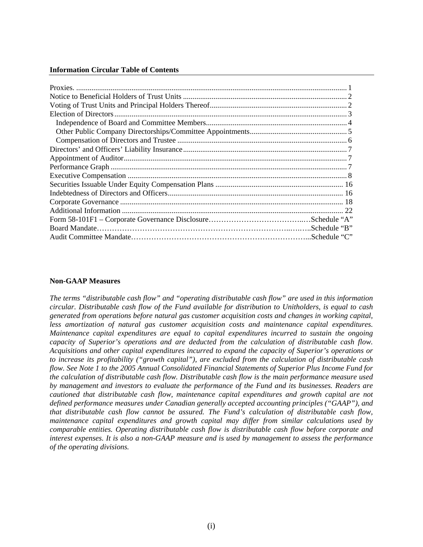#### **Information Circular Table of Contents**

# **Non-GAAP Measures**

*The terms "distributable cash flow" and "operating distributable cash flow" are used in this information circular. Distributable cash flow of the Fund available for distribution to Unitholders, is equal to cash generated from operations before natural gas customer acquisition costs and changes in working capital, less amortization of natural gas customer acquisition costs and maintenance capital expenditures. Maintenance capital expenditures are equal to capital expenditures incurred to sustain the ongoing capacity of Superior's operations and are deducted from the calculation of distributable cash flow. Acquisitions and other capital expenditures incurred to expand the capacity of Superior's operations or to increase its profitability ("growth capital"), are excluded from the calculation of distributable cash flow. See Note 1 to the 2005 Annual Consolidated Financial Statements of Superior Plus Income Fund for the calculation of distributable cash flow. Distributable cash flow is the main performance measure used by management and investors to evaluate the performance of the Fund and its businesses. Readers are cautioned that distributable cash flow, maintenance capital expenditures and growth capital are not defined performance measures under Canadian generally accepted accounting principles ("GAAP"), and that distributable cash flow cannot be assured. The Fund's calculation of distributable cash flow, maintenance capital expenditures and growth capital may differ from similar calculations used by comparable entities. Operating distributable cash flow is distributable cash flow before corporate and interest expenses. It is also a non-GAAP measure and is used by management to assess the performance of the operating divisions.*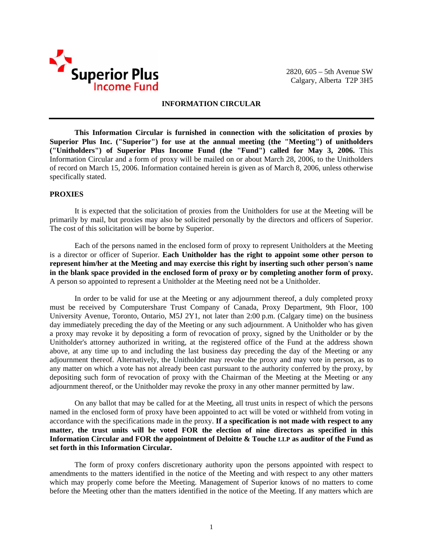

2820, 605 – 5th Avenue SW Calgary, Alberta T2P 3H5

# **INFORMATION CIRCULAR**

**This Information Circular is furnished in connection with the solicitation of proxies by Superior Plus Inc. ("Superior") for use at the annual meeting (the "Meeting") of unitholders ("Unitholders") of Superior Plus Income Fund (the "Fund") called for May 3, 2006.** This Information Circular and a form of proxy will be mailed on or about March 28, 2006, to the Unitholders of record on March 15, 2006. Information contained herein is given as of March 8, 2006, unless otherwise specifically stated.

# **PROXIES**

It is expected that the solicitation of proxies from the Unitholders for use at the Meeting will be primarily by mail, but proxies may also be solicited personally by the directors and officers of Superior. The cost of this solicitation will be borne by Superior.

Each of the persons named in the enclosed form of proxy to represent Unitholders at the Meeting is a director or officer of Superior. **Each Unitholder has the right to appoint some other person to represent him/her at the Meeting and may exercise this right by inserting such other person's name in the blank space provided in the enclosed form of proxy or by completing another form of proxy.**  A person so appointed to represent a Unitholder at the Meeting need not be a Unitholder.

In order to be valid for use at the Meeting or any adjournment thereof, a duly completed proxy must be received by Computershare Trust Company of Canada, Proxy Department, 9th Floor, 100 University Avenue, Toronto, Ontario, M5J 2Y1, not later than 2:00 p.m. (Calgary time) on the business day immediately preceding the day of the Meeting or any such adjournment. A Unitholder who has given a proxy may revoke it by depositing a form of revocation of proxy, signed by the Unitholder or by the Unitholder's attorney authorized in writing, at the registered office of the Fund at the address shown above, at any time up to and including the last business day preceding the day of the Meeting or any adjournment thereof. Alternatively, the Unitholder may revoke the proxy and may vote in person, as to any matter on which a vote has not already been cast pursuant to the authority conferred by the proxy, by depositing such form of revocation of proxy with the Chairman of the Meeting at the Meeting or any adjournment thereof, or the Unitholder may revoke the proxy in any other manner permitted by law.

On any ballot that may be called for at the Meeting, all trust units in respect of which the persons named in the enclosed form of proxy have been appointed to act will be voted or withheld from voting in accordance with the specifications made in the proxy. **If a specification is not made with respect to any matter, the trust units will be voted FOR the election of nine directors as specified in this Information Circular and FOR the appointment of Deloitte & Touche LLP as auditor of the Fund as set forth in this Information Circular.** 

The form of proxy confers discretionary authority upon the persons appointed with respect to amendments to the matters identified in the notice of the Meeting and with respect to any other matters which may properly come before the Meeting. Management of Superior knows of no matters to come before the Meeting other than the matters identified in the notice of the Meeting. If any matters which are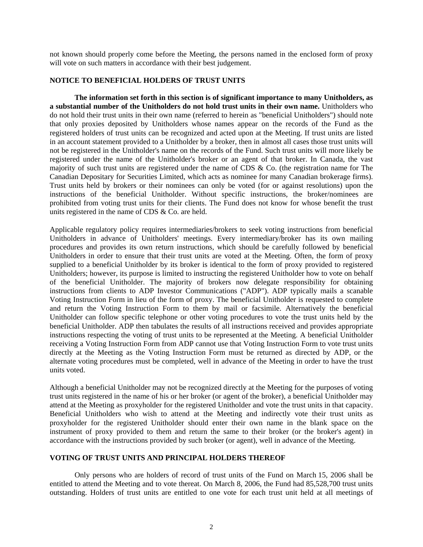not known should properly come before the Meeting, the persons named in the enclosed form of proxy will vote on such matters in accordance with their best judgement.

## **NOTICE TO BENEFICIAL HOLDERS OF TRUST UNITS**

**The information set forth in this section is of significant importance to many Unitholders, as a substantial number of the Unitholders do not hold trust units in their own name.** Unitholders who do not hold their trust units in their own name (referred to herein as "beneficial Unitholders") should note that only proxies deposited by Unitholders whose names appear on the records of the Fund as the registered holders of trust units can be recognized and acted upon at the Meeting. If trust units are listed in an account statement provided to a Unitholder by a broker, then in almost all cases those trust units will not be registered in the Unitholder's name on the records of the Fund. Such trust units will more likely be registered under the name of the Unitholder's broker or an agent of that broker. In Canada, the vast majority of such trust units are registered under the name of CDS & Co. (the registration name for The Canadian Depositary for Securities Limited, which acts as nominee for many Canadian brokerage firms). Trust units held by brokers or their nominees can only be voted (for or against resolutions) upon the instructions of the beneficial Unitholder. Without specific instructions, the broker/nominees are prohibited from voting trust units for their clients. The Fund does not know for whose benefit the trust units registered in the name of CDS & Co. are held.

Applicable regulatory policy requires intermediaries/brokers to seek voting instructions from beneficial Unitholders in advance of Unitholders' meetings. Every intermediary/broker has its own mailing procedures and provides its own return instructions, which should be carefully followed by beneficial Unitholders in order to ensure that their trust units are voted at the Meeting. Often, the form of proxy supplied to a beneficial Unitholder by its broker is identical to the form of proxy provided to registered Unitholders; however, its purpose is limited to instructing the registered Unitholder how to vote on behalf of the beneficial Unitholder. The majority of brokers now delegate responsibility for obtaining instructions from clients to ADP Investor Communications ("ADP"). ADP typically mails a scanable Voting Instruction Form in lieu of the form of proxy. The beneficial Unitholder is requested to complete and return the Voting Instruction Form to them by mail or facsimile. Alternatively the beneficial Unitholder can follow specific telephone or other voting procedures to vote the trust units held by the beneficial Unitholder. ADP then tabulates the results of all instructions received and provides appropriate instructions respecting the voting of trust units to be represented at the Meeting. A beneficial Unitholder receiving a Voting Instruction Form from ADP cannot use that Voting Instruction Form to vote trust units directly at the Meeting as the Voting Instruction Form must be returned as directed by ADP, or the alternate voting procedures must be completed, well in advance of the Meeting in order to have the trust units voted.

Although a beneficial Unitholder may not be recognized directly at the Meeting for the purposes of voting trust units registered in the name of his or her broker (or agent of the broker), a beneficial Unitholder may attend at the Meeting as proxyholder for the registered Unitholder and vote the trust units in that capacity. Beneficial Unitholders who wish to attend at the Meeting and indirectly vote their trust units as proxyholder for the registered Unitholder should enter their own name in the blank space on the instrument of proxy provided to them and return the same to their broker (or the broker's agent) in accordance with the instructions provided by such broker (or agent), well in advance of the Meeting.

# **VOTING OF TRUST UNITS AND PRINCIPAL HOLDERS THEREOF**

Only persons who are holders of record of trust units of the Fund on March 15, 2006 shall be entitled to attend the Meeting and to vote thereat. On March 8, 2006, the Fund had 85,528,700 trust units outstanding. Holders of trust units are entitled to one vote for each trust unit held at all meetings of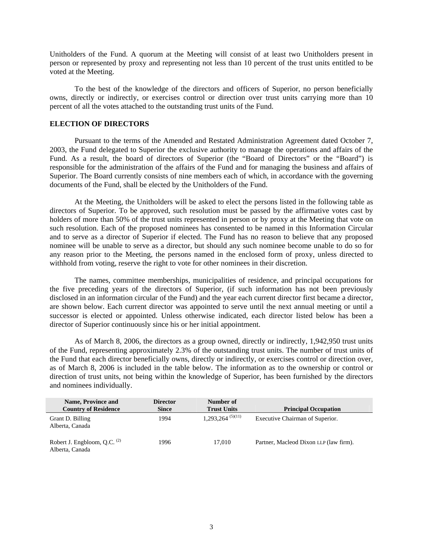Unitholders of the Fund. A quorum at the Meeting will consist of at least two Unitholders present in person or represented by proxy and representing not less than 10 percent of the trust units entitled to be voted at the Meeting.

To the best of the knowledge of the directors and officers of Superior, no person beneficially owns, directly or indirectly, or exercises control or direction over trust units carrying more than 10 percent of all the votes attached to the outstanding trust units of the Fund.

## **ELECTION OF DIRECTORS**

Pursuant to the terms of the Amended and Restated Administration Agreement dated October 7, 2003, the Fund delegated to Superior the exclusive authority to manage the operations and affairs of the Fund. As a result, the board of directors of Superior (the "Board of Directors" or the "Board") is responsible for the administration of the affairs of the Fund and for managing the business and affairs of Superior. The Board currently consists of nine members each of which, in accordance with the governing documents of the Fund, shall be elected by the Unitholders of the Fund.

At the Meeting, the Unitholders will be asked to elect the persons listed in the following table as directors of Superior. To be approved, such resolution must be passed by the affirmative votes cast by holders of more than 50% of the trust units represented in person or by proxy at the Meeting that vote on such resolution. Each of the proposed nominees has consented to be named in this Information Circular and to serve as a director of Superior if elected. The Fund has no reason to believe that any proposed nominee will be unable to serve as a director, but should any such nominee become unable to do so for any reason prior to the Meeting, the persons named in the enclosed form of proxy, unless directed to withhold from voting, reserve the right to vote for other nominees in their discretion.

The names, committee memberships, municipalities of residence, and principal occupations for the five preceding years of the directors of Superior, (if such information has not been previously disclosed in an information circular of the Fund) and the year each current director first became a director, are shown below. Each current director was appointed to serve until the next annual meeting or until a successor is elected or appointed. Unless otherwise indicated, each director listed below has been a director of Superior continuously since his or her initial appointment.

As of March 8, 2006, the directors as a group owned, directly or indirectly, 1,942,950 trust units of the Fund, representing approximately 2.3% of the outstanding trust units. The number of trust units of the Fund that each director beneficially owns, directly or indirectly, or exercises control or direction over, as of March 8, 2006 is included in the table below. The information as to the ownership or control or direction of trust units, not being within the knowledge of Superior, has been furnished by the directors and nominees individually.

| <b>Name, Province and</b><br><b>Country of Residence</b>   | <b>Director</b><br><b>Since</b> | Number of<br><b>Trust Units</b> | <b>Principal Occupation</b>            |
|------------------------------------------------------------|---------------------------------|---------------------------------|----------------------------------------|
| Grant D. Billing<br>Alberta, Canada                        | 1994                            | $1,293,264^{(5)(11)}$           | Executive Chairman of Superior.        |
| Robert J. Engbloom, Q.C. <sup>(2)</sup><br>Alberta, Canada | 1996                            | 17.010                          | Partner, Macleod Dixon LLP (law firm). |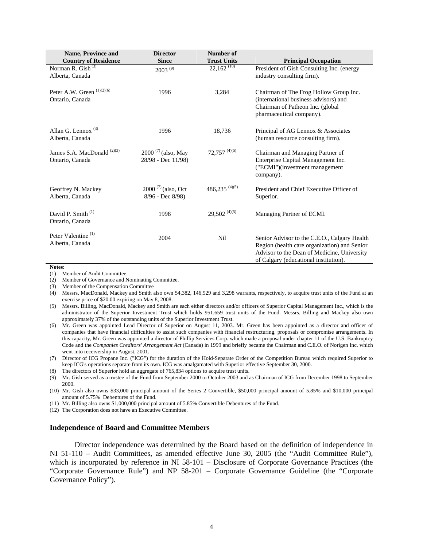| <b>Name, Province and</b><br><b>Country of Residence</b>  | <b>Director</b><br><b>Since</b>               | Number of<br><b>Trust Units</b> | <b>Principal Occupation</b>                                                                                                                                                          |
|-----------------------------------------------------------|-----------------------------------------------|---------------------------------|--------------------------------------------------------------------------------------------------------------------------------------------------------------------------------------|
| Norman R. Gish $(3)$<br>Alberta, Canada                   | $2003^{(9)}$                                  | $22,162$ <sup>(10)</sup>        | President of Gish Consulting Inc. (energy<br>industry consulting firm).                                                                                                              |
| Peter A.W. Green $(1)(2)(6)$<br>Ontario, Canada           | 1996                                          | 3,284                           | Chairman of The Frog Hollow Group Inc.<br>(international business advisors) and<br>Chairman of Patheon Inc. (global<br>pharmaceutical company).                                      |
| Allan G. Lennox $(3)$<br>Alberta, Canada                  | 1996                                          | 18,736                          | Principal of AG Lennox & Associates<br>(human resource consulting firm).                                                                                                             |
| James S.A. MacDonald <sup>(2)(3)</sup><br>Ontario, Canada | $2000^{(7)}$ (also, May<br>28/98 - Dec 11/98) | $72,757$ <sup>(4)(5)</sup>      | Chairman and Managing Partner of<br>Enterprise Capital Management Inc.<br>("ECMI")(investment management<br>company).                                                                |
| Geoffrey N. Mackey<br>Alberta, Canada                     | $2000^{(7)}$ (also, Oct<br>8/96 - Dec 8/98)   | 486,235 $(4)(5)$                | President and Chief Executive Officer of<br>Superior.                                                                                                                                |
| David P. Smith <sup>(1)</sup><br>Ontario, Canada          | 1998                                          | $29,502^{(4)(5)}$               | Managing Partner of ECMI.                                                                                                                                                            |
| Peter Valentine <sup>(1)</sup><br>Alberta, Canada         | 2004                                          | Nil                             | Senior Advisor to the C.E.O., Calgary Health<br>Region (health care organization) and Senior<br>Advisor to the Dean of Medicine, University<br>of Calgary (educational institution). |

**Notes:** 

(1) Member of Audit Committee.

(2) Member of Governance and Nominating Committee.

(3) Member of the Compensation Committee

(8) The directors of Superior hold an aggregate of 765,834 options to acquire trust units.

(9) Mr. Gish served as a trustee of the Fund from September 2000 to October 2003 and as Chairman of ICG from December 1998 to September 2000.

(10) Mr. Gish also owns \$33,000 principal amount of the Series 2 Convertible, \$50,000 principal amount of 5.85% and \$10,000 principal amount of 5.75% Debentures of the Fund.

(11) Mr. Billing also owns \$1,000,000 principal amount of 5.85% Convertible Debentures of the Fund.

(12) The Corporation does not have an Executive Committee.

#### **Independence of Board and Committee Members**

 Director independence was determined by the Board based on the definition of independence in NI 51-110 – Audit Committees, as amended effective June 30, 2005 (the "Audit Committee Rule"), which is incorporated by reference in NI 58-101 – Disclosure of Corporate Governance Practices (the "Corporate Governance Rule") and NP 58-201 – Corporate Governance Guideline (the "Corporate Governance Policy").

<sup>(4)</sup> Messrs. MacDonald, Mackey and Smith also own 54,382, 146,929 and 3,298 warrants, respectively, to acquire trust units of the Fund at an exercise price of \$20.00 expiring on May 8, 2008.

<sup>(5)</sup> Messrs. Billing, MacDonald, Mackey and Smith are each either directors and/or officers of Superior Capital Management Inc., which is the administrator of the Superior Investment Trust which holds 951,659 trust units of the Fund. Messrs. Billing and Mackey also own approximately 37% of the outstanding units of the Superior Investment Trust.

<sup>(6)</sup> Mr. Green was appointed Lead Director of Superior on August 11, 2003. Mr. Green has been appointed as a director and officer of companies that have financial difficulties to assist such companies with financial restructuring, proposals or compromise arrangements. In this capacity, Mr. Green was appointed a director of Phillip Services Corp. which made a proposal under chapter 11 of the U.S. Bankruptcy Code and the *Companies Creditors' Arrangement Act* (Canada) in 1999 and briefly became the Chairman and C.E.O. of Norigen Inc. which went into receivership in August, 2001.

<sup>(7)</sup> Director of ICG Propane Inc. ("ICG") for the duration of the Hold-Separate Order of the Competition Bureau which required Superior to keep ICG's operations separate from its own. ICG was amalgamated with Superior effective September 30, 2000.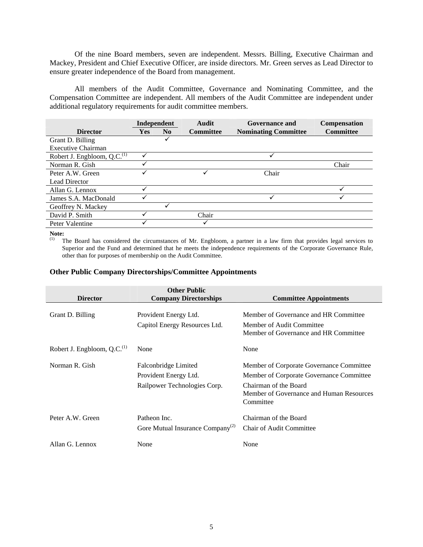Of the nine Board members, seven are independent. Messrs. Billing, Executive Chairman and Mackey, President and Chief Executive Officer, are inside directors. Mr. Green serves as Lead Director to ensure greater independence of the Board from management.

All members of the Audit Committee, Governance and Nominating Committee, and the Compensation Committee are independent. All members of the Audit Committee are independent under additional regulatory requirements for audit committee members.

|                                   | Independent  |                | <b>Audit</b>     | Governance and              | Compensation     |
|-----------------------------------|--------------|----------------|------------------|-----------------------------|------------------|
| <b>Director</b>                   | Yes          | N <sub>0</sub> | <b>Committee</b> | <b>Nominating Committee</b> | <b>Committee</b> |
| Grant D. Billing                  |              | ✓              |                  |                             |                  |
| <b>Executive Chairman</b>         |              |                |                  |                             |                  |
| Robert J. Engbloom, Q.C. $^{(1)}$ |              |                |                  |                             |                  |
| Norman R. Gish                    | ✓            |                |                  |                             | Chair            |
| Peter A.W. Green                  |              |                |                  | Chair                       |                  |
| <b>Lead Director</b>              |              |                |                  |                             |                  |
| Allan G. Lennox                   | $\checkmark$ |                |                  |                             |                  |
| James S.A. MacDonald              |              |                |                  |                             |                  |
| Geoffrey N. Mackey                |              |                |                  |                             |                  |
| David P. Smith                    |              |                | Chair            |                             |                  |
| Peter Valentine                   |              |                |                  |                             |                  |

**Note:** 

<sup>(1)</sup> The Board has considered the circumstances of Mr. Engbloom, a partner in a law firm that provides legal services to Superior and the Fund and determined that he meets the independence requirements of the Corporate Governance Rule, other than for purposes of membership on the Audit Committee.

## **Other Public Company Directorships/Committee Appointments**

|                                         | <b>Other Public</b>                          |                                          |
|-----------------------------------------|----------------------------------------------|------------------------------------------|
| <b>Director</b>                         | <b>Company Directorships</b>                 | <b>Committee Appointments</b>            |
|                                         |                                              |                                          |
| Grant D. Billing                        | Provident Energy Ltd.                        | Member of Governance and HR Committee    |
|                                         | Capitol Energy Resources Ltd.                | Member of Audit Committee                |
|                                         |                                              | Member of Governance and HR Committee    |
| Robert J. Engbloom, Q.C. <sup>(1)</sup> | None                                         | None                                     |
| Norman R. Gish                          | Falconbridge Limited                         | Member of Corporate Governance Committee |
|                                         | Provident Energy Ltd.                        | Member of Corporate Governance Committee |
|                                         | Railpower Technologies Corp.                 | Chairman of the Board                    |
|                                         |                                              | Member of Governance and Human Resources |
|                                         |                                              | Committee                                |
| Peter A.W. Green                        | Patheon Inc.                                 | Chairman of the Board                    |
|                                         | Gore Mutual Insurance Company <sup>(2)</sup> | <b>Chair of Audit Committee</b>          |
|                                         |                                              |                                          |
| Allan G. Lennox                         | None                                         | None                                     |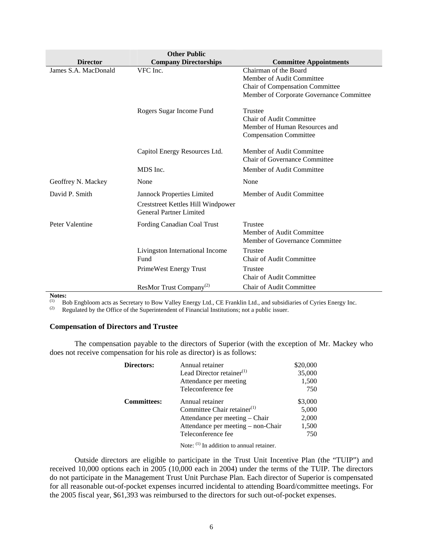|                      | <b>Other Public</b>                                                  |                                          |
|----------------------|----------------------------------------------------------------------|------------------------------------------|
| <b>Director</b>      | <b>Company Directorships</b>                                         | <b>Committee Appointments</b>            |
| James S.A. MacDonald | VFC Inc.                                                             | Chairman of the Board                    |
|                      |                                                                      | Member of Audit Committee                |
|                      |                                                                      | Chair of Compensation Committee          |
|                      |                                                                      | Member of Corporate Governance Committee |
|                      | Rogers Sugar Income Fund                                             | Trustee                                  |
|                      |                                                                      | Chair of Audit Committee                 |
|                      |                                                                      | Member of Human Resources and            |
|                      |                                                                      | <b>Compensation Committee</b>            |
|                      | Capitol Energy Resources Ltd.                                        | Member of Audit Committee                |
|                      |                                                                      | <b>Chair of Governance Committee</b>     |
|                      | MDS Inc.                                                             | Member of Audit Committee                |
| Geoffrey N. Mackey   | None                                                                 | None                                     |
| David P. Smith       | Jannock Properties Limited                                           | Member of Audit Committee                |
|                      | Creststreet Kettles Hill Windpower<br><b>General Partner Limited</b> |                                          |
| Peter Valentine      | Fording Canadian Coal Trust                                          | Trustee                                  |
|                      |                                                                      | Member of Audit Committee                |
|                      |                                                                      | Member of Governance Committee           |
|                      | Livingston International Income                                      | Trustee                                  |
|                      | Fund                                                                 | <b>Chair of Audit Committee</b>          |
|                      | PrimeWest Energy Trust                                               | Trustee                                  |
|                      |                                                                      | <b>Chair of Audit Committee</b>          |
|                      | ResMor Trust Company <sup>(2)</sup>                                  | <b>Chair of Audit Committee</b>          |

**Notes:** 

(1) Bob Engbloom acts as Secretary to Bow Valley Energy Ltd., CE Franklin Ltd., and subsidiaries of Cyries Energy Inc.<br>(2) Regulated by the Office of the Superintendent of Financial Institutions: not a public issuer

Regulated by the Office of the Superintendent of Financial Institutions; not a public issuer.

## **Compensation of Directors and Trustee**

The compensation payable to the directors of Superior (with the exception of Mr. Mackey who does not receive compensation for his role as director) is as follows:

| Annual retainer                       | \$20,000 |
|---------------------------------------|----------|
| Lead Director retainer <sup>(1)</sup> | 35,000   |
| Attendance per meeting                | 1,500    |
| Teleconference fee                    | 750      |
| Annual retainer                       | \$3,000  |
| Committee Chair retainer $(1)$        | 5,000    |
| Attendance per meeting - Chair        | 2,000    |
| Attendance per meeting – non-Chair    | 1,500    |
| Teleconference fee                    | 750      |
|                                       |          |

Note: <sup>(1)</sup> In addition to annual retainer.

Outside directors are eligible to participate in the Trust Unit Incentive Plan (the "TUIP") and received 10,000 options each in 2005 (10,000 each in 2004) under the terms of the TUIP. The directors do not participate in the Management Trust Unit Purchase Plan. Each director of Superior is compensated for all reasonable out-of-pocket expenses incurred incidental to attending Board/committee meetings. For the 2005 fiscal year, \$61,393 was reimbursed to the directors for such out-of-pocket expenses.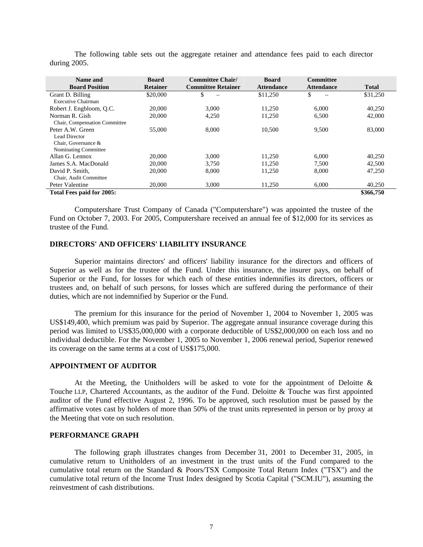| Name and                      | <b>Board</b>    | <b>Committee Chair/</b>   | <b>Board</b>      | <b>Committee</b>  |              |
|-------------------------------|-----------------|---------------------------|-------------------|-------------------|--------------|
| <b>Board Position</b>         | <b>Retainer</b> | <b>Committee Retainer</b> | <b>Attendance</b> | <b>Attendance</b> | <b>Total</b> |
| Grant D. Billing              | \$20,000        | \$                        | \$11,250          | \$                | \$31,250     |
| Executive Chairman            |                 |                           |                   |                   |              |
| Robert J. Engbloom, Q.C.      | 20,000          | 3.000                     | 11,250            | 6.000             | 40,250       |
| Norman R. Gish                | 20,000          | 4,250                     | 11,250            | 6,500             | 42,000       |
| Chair, Compensation Committee |                 |                           |                   |                   |              |
| Peter A.W. Green              | 55,000          | 8.000                     | 10.500            | 9,500             | 83,000       |
| Lead Director                 |                 |                           |                   |                   |              |
| Chair. Governance &           |                 |                           |                   |                   |              |
| Nominating Committee          |                 |                           |                   |                   |              |
| Allan G. Lennox               | 20,000          | 3.000                     | 11.250            | 6.000             | 40,250       |
| James S.A. MacDonald          | 20,000          | 3.750                     | 11.250            | 7.500             | 42,500       |
| David P. Smith.               | 20,000          | 8,000                     | 11,250            | 8,000             | 47.250       |
| Chair. Audit Committee        |                 |                           |                   |                   |              |
| Peter Valentine               | 20,000          | 3,000                     | 11,250            | 6,000             | 40,250       |
| Total Fees paid for 2005:     |                 |                           |                   |                   | \$366,750    |

The following table sets out the aggregate retainer and attendance fees paid to each director during 2005.

Computershare Trust Company of Canada ("Computershare") was appointed the trustee of the Fund on October 7, 2003. For 2005, Computershare received an annual fee of \$12,000 for its services as trustee of the Fund.

# **DIRECTORS' AND OFFICERS' LIABILITY INSURANCE**

Superior maintains directors' and officers' liability insurance for the directors and officers of Superior as well as for the trustee of the Fund. Under this insurance, the insurer pays, on behalf of Superior or the Fund, for losses for which each of these entities indemnifies its directors, officers or trustees and, on behalf of such persons, for losses which are suffered during the performance of their duties, which are not indemnified by Superior or the Fund.

The premium for this insurance for the period of November 1, 2004 to November 1, 2005 was US\$149,400, which premium was paid by Superior. The aggregate annual insurance coverage during this period was limited to US\$35,000,000 with a corporate deductible of US\$2,000,000 on each loss and no individual deductible. For the November 1, 2005 to November 1, 2006 renewal period, Superior renewed its coverage on the same terms at a cost of US\$175,000.

# **APPOINTMENT OF AUDITOR**

At the Meeting, the Unitholders will be asked to vote for the appointment of Deloitte  $\&$ Touche LLP, Chartered Accountants, as the auditor of the Fund. Deloitte & Touche was first appointed auditor of the Fund effective August 2, 1996. To be approved, such resolution must be passed by the affirmative votes cast by holders of more than 50% of the trust units represented in person or by proxy at the Meeting that vote on such resolution.

# **PERFORMANCE GRAPH**

The following graph illustrates changes from December 31, 2001 to December 31, 2005, in cumulative return to Unitholders of an investment in the trust units of the Fund compared to the cumulative total return on the Standard & Poors/TSX Composite Total Return Index ("TSX") and the cumulative total return of the Income Trust Index designed by Scotia Capital ("SCM.IU"), assuming the reinvestment of cash distributions.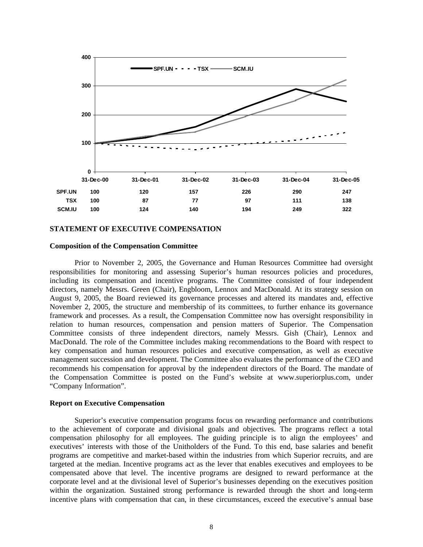

# **STATEMENT OF EXECUTIVE COMPENSATION**

#### **Composition of the Compensation Committee**

Prior to November 2, 2005, the Governance and Human Resources Committee had oversight responsibilities for monitoring and assessing Superior's human resources policies and procedures, including its compensation and incentive programs. The Committee consisted of four independent directors, namely Messrs. Green (Chair), Engbloom, Lennox and MacDonald. At its strategy session on August 9, 2005, the Board reviewed its governance processes and altered its mandates and, effective November 2, 2005, the structure and membership of its committees, to further enhance its governance framework and processes. As a result, the Compensation Committee now has oversight responsibility in relation to human resources, compensation and pension matters of Superior. The Compensation Committee consists of three independent directors, namely Messrs. Gish (Chair), Lennox and MacDonald. The role of the Committee includes making recommendations to the Board with respect to key compensation and human resources policies and executive compensation, as well as executive management succession and development. The Committee also evaluates the performance of the CEO and recommends his compensation for approval by the independent directors of the Board. The mandate of the Compensation Committee is posted on the Fund's website at www.superiorplus.com, under "Company Information".

#### **Report on Executive Compensation**

Superior's executive compensation programs focus on rewarding performance and contributions to the achievement of corporate and divisional goals and objectives. The programs reflect a total compensation philosophy for all employees. The guiding principle is to align the employees' and executives' interests with those of the Unitholders of the Fund. To this end, base salaries and benefit programs are competitive and market-based within the industries from which Superior recruits, and are targeted at the median. Incentive programs act as the lever that enables executives and employees to be compensated above that level. The incentive programs are designed to reward performance at the corporate level and at the divisional level of Superior's businesses depending on the executives position within the organization. Sustained strong performance is rewarded through the short and long-term incentive plans with compensation that can, in these circumstances, exceed the executive's annual base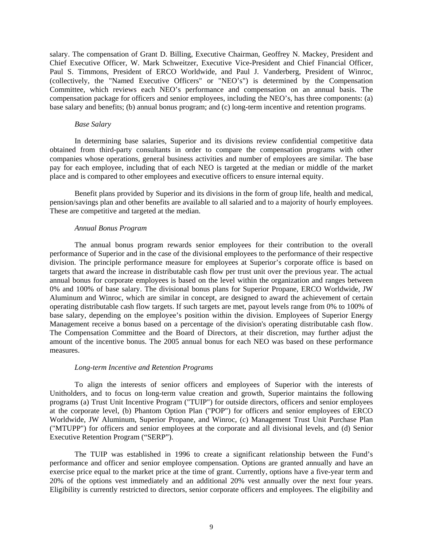salary. The compensation of Grant D. Billing, Executive Chairman, Geoffrey N. Mackey, President and Chief Executive Officer, W. Mark Schweitzer, Executive Vice-President and Chief Financial Officer, Paul S. Timmons, President of ERCO Worldwide, and Paul J. Vanderberg, President of Winroc, (collectively, the "Named Executive Officers" or "NEO's") is determined by the Compensation Committee, which reviews each NEO's performance and compensation on an annual basis. The compensation package for officers and senior employees, including the NEO's, has three components: (a) base salary and benefits; (b) annual bonus program; and (c) long-term incentive and retention programs.

#### *Base Salary*

In determining base salaries, Superior and its divisions review confidential competitive data obtained from third-party consultants in order to compare the compensation programs with other companies whose operations, general business activities and number of employees are similar. The base pay for each employee, including that of each NEO is targeted at the median or middle of the market place and is compared to other employees and executive officers to ensure internal equity.

Benefit plans provided by Superior and its divisions in the form of group life, health and medical, pension/savings plan and other benefits are available to all salaried and to a majority of hourly employees. These are competitive and targeted at the median.

#### *Annual Bonus Program*

The annual bonus program rewards senior employees for their contribution to the overall performance of Superior and in the case of the divisional employees to the performance of their respective division. The principle performance measure for employees at Superior's corporate office is based on targets that award the increase in distributable cash flow per trust unit over the previous year. The actual annual bonus for corporate employees is based on the level within the organization and ranges between 0% and 100% of base salary. The divisional bonus plans for Superior Propane, ERCO Worldwide, JW Aluminum and Winroc, which are similar in concept, are designed to award the achievement of certain operating distributable cash flow targets. If such targets are met, payout levels range from 0% to 100% of base salary, depending on the employee's position within the division. Employees of Superior Energy Management receive a bonus based on a percentage of the division's operating distributable cash flow. The Compensation Committee and the Board of Directors, at their discretion, may further adjust the amount of the incentive bonus. The 2005 annual bonus for each NEO was based on these performance measures.

#### *Long-term Incentive and Retention Programs*

To align the interests of senior officers and employees of Superior with the interests of Unitholders, and to focus on long-term value creation and growth, Superior maintains the following programs (a) Trust Unit Incentive Program ("TUIP") for outside directors, officers and senior employees at the corporate level, (b) Phantom Option Plan ("POP") for officers and senior employees of ERCO Worldwide, JW Aluminum, Superior Propane, and Winroc, (c) Management Trust Unit Purchase Plan ("MTUPP") for officers and senior employees at the corporate and all divisional levels, and (d) Senior Executive Retention Program ("SERP").

The TUIP was established in 1996 to create a significant relationship between the Fund's performance and officer and senior employee compensation. Options are granted annually and have an exercise price equal to the market price at the time of grant. Currently, options have a five-year term and 20% of the options vest immediately and an additional 20% vest annually over the next four years. Eligibility is currently restricted to directors, senior corporate officers and employees. The eligibility and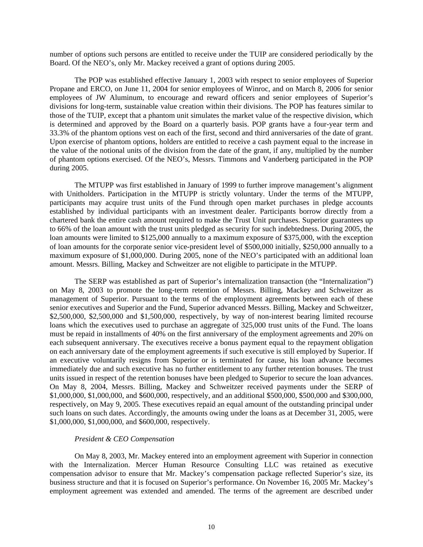number of options such persons are entitled to receive under the TUIP are considered periodically by the Board. Of the NEO's, only Mr. Mackey received a grant of options during 2005.

The POP was established effective January 1, 2003 with respect to senior employees of Superior Propane and ERCO, on June 11, 2004 for senior employees of Winroc, and on March 8, 2006 for senior employees of JW Aluminum, to encourage and reward officers and senior employees of Superior's divisions for long-term, sustainable value creation within their divisions. The POP has features similar to those of the TUIP, except that a phantom unit simulates the market value of the respective division, which is determined and approved by the Board on a quarterly basis. POP grants have a four-year term and 33.3% of the phantom options vest on each of the first, second and third anniversaries of the date of grant. Upon exercise of phantom options, holders are entitled to receive a cash payment equal to the increase in the value of the notional units of the division from the date of the grant, if any, multiplied by the number of phantom options exercised. Of the NEO's, Messrs. Timmons and Vanderberg participated in the POP during 2005.

 The MTUPP was first established in January of 1999 to further improve management's alignment with Unitholders. Participation in the MTUPP is strictly voluntary. Under the terms of the MTUPP, participants may acquire trust units of the Fund through open market purchases in pledge accounts established by individual participants with an investment dealer. Participants borrow directly from a chartered bank the entire cash amount required to make the Trust Unit purchases. Superior guarantees up to 66% of the loan amount with the trust units pledged as security for such indebtedness. During 2005, the loan amounts were limited to \$125,000 annually to a maximum exposure of \$375,000, with the exception of loan amounts for the corporate senior vice-president level of \$500,000 initially, \$250,000 annually to a maximum exposure of \$1,000,000. During 2005, none of the NEO's participated with an additional loan amount. Messrs. Billing, Mackey and Schweitzer are not eligible to participate in the MTUPP.

The SERP was established as part of Superior's internalization transaction (the "Internalization") on May 8, 2003 to promote the long-term retention of Messrs. Billing, Mackey and Schweitzer as management of Superior. Pursuant to the terms of the employment agreements between each of these senior executives and Superior and the Fund, Superior advanced Messrs. Billing, Mackey and Schweitzer, \$2,500,000, \$2,500,000 and \$1,500,000, respectively, by way of non-interest bearing limited recourse loans which the executives used to purchase an aggregate of 325,000 trust units of the Fund. The loans must be repaid in installments of 40% on the first anniversary of the employment agreements and 20% on each subsequent anniversary. The executives receive a bonus payment equal to the repayment obligation on each anniversary date of the employment agreements if such executive is still employed by Superior. If an executive voluntarily resigns from Superior or is terminated for cause, his loan advance becomes immediately due and such executive has no further entitlement to any further retention bonuses. The trust units issued in respect of the retention bonuses have been pledged to Superior to secure the loan advances. On May 8, 2004, Messrs. Billing, Mackey and Schweitzer received payments under the SERP of \$1,000,000, \$1,000,000, and \$600,000, respectively, and an additional \$500,000, \$500,000 and \$300,000, respectively, on May 9, 2005. These executives repaid an equal amount of the outstanding principal under such loans on such dates. Accordingly, the amounts owing under the loans as at December 31, 2005, were \$1,000,000, \$1,000,000, and \$600,000, respectively.

# *President & CEO Compensation*

On May 8, 2003, Mr. Mackey entered into an employment agreement with Superior in connection with the Internalization. Mercer Human Resource Consulting LLC was retained as executive compensation advisor to ensure that Mr. Mackey's compensation package reflected Superior's size, its business structure and that it is focused on Superior's performance. On November 16, 2005 Mr. Mackey's employment agreement was extended and amended. The terms of the agreement are described under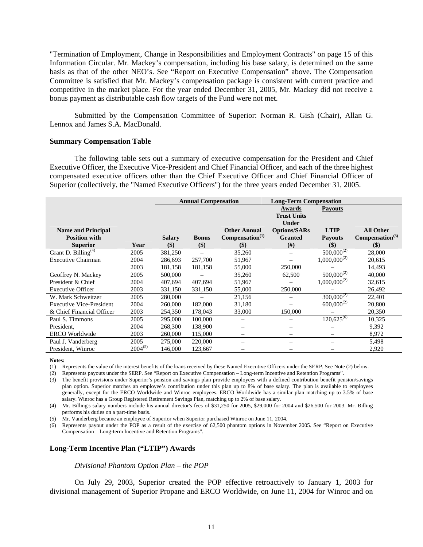"Termination of Employment, Change in Responsibilities and Employment Contracts" on page 15 of this Information Circular. Mr. Mackey's compensation, including his base salary, is determined on the same basis as that of the other NEO's. See "Report on Executive Compensation" above. The Compensation Committee is satisfied that Mr. Mackey's compensation package is consistent with current practice and competitive in the market place. For the year ended December 31, 2005, Mr. Mackey did not receive a bonus payment as distributable cash flow targets of the Fund were not met.

Submitted by the Compensation Committee of Superior: Norman R. Gish (Chair), Allan G. Lennox and James S.A. MacDonald.

#### **Summary Compensation Table**

The following table sets out a summary of executive compensation for the President and Chief Executive Officer, the Executive Vice-President and Chief Financial Officer, and each of the three highest compensated executive officers other than the Chief Executive Officer and Chief Financial Officer of Superior (collectively, the "Named Executive Officers") for the three years ended December 31, 2005.

|                                 |              |               | <b>Annual Compensation</b> |                              | <b>Long-Term Compensation</b>                |                            |                             |
|---------------------------------|--------------|---------------|----------------------------|------------------------------|----------------------------------------------|----------------------------|-----------------------------|
|                                 |              |               |                            |                              | Awards<br><b>Trust Units</b><br><b>Under</b> | <b>Payouts</b>             |                             |
| <b>Name and Principal</b>       |              |               |                            | <b>Other Annual</b>          | <b>Options/SARs</b>                          | <b>LTIP</b>                | <b>All Other</b>            |
| <b>Position with</b>            |              | <b>Salary</b> | <b>Bonus</b>               | Compensation <sup>(1)</sup>  | <b>Granted</b>                               | <b>Payouts</b>             | Compensation <sup>(3)</sup> |
| <b>Superior</b>                 | Year         | $(\$)$        | \$)                        | $\left( \mathcal{S} \right)$ | #)                                           | $\left( \mathbb{S}\right)$ | \$)                         |
| Grant D. Billing <sup>(4)</sup> | 2005         | 381,250       |                            | 35,260                       |                                              | $500,000^{(2)}$            | 28,000                      |
| <b>Executive Chairman</b>       | 2004         | 286,693       | 257,700                    | 51,967                       |                                              | $1,000,000^{(2)}$          | 20,615                      |
|                                 | 2003         | 181,158       | 181,158                    | 55,000                       | 250,000                                      |                            | 14,493                      |
| Geoffrey N. Mackey              | 2005         | 500,000       |                            | 35,260                       | 62,500                                       | $500,000^{(2)}$            | 40,000                      |
| President & Chief               | 2004         | 407,694       | 407,694                    | 51,967                       |                                              | $1,000,000^{(2)}$          | 32,615                      |
| <b>Executive Officer</b>        | 2003         | 331,150       | 331,150                    | 55,000                       | 250,000                                      |                            | 26,492                      |
| W. Mark Schweitzer              | 2005         | 280,000       |                            | 21,156                       |                                              | $300,000^{(2)}$            | 22,401                      |
| <b>Executive Vice-President</b> | 2004         | 260,000       | 182,000                    | 31,180                       |                                              | $600,000^{(2)}$            | 20,800                      |
| & Chief Financial Officer       | 2003         | 254,350       | 178,043                    | 33,000                       | 150,000                                      |                            | 20,350                      |
| Paul S. Timmons                 | 2005         | 295,000       | 100,000                    |                              |                                              | $120,625^{(6)}$            | 10,325                      |
| President.                      | 2004         | 268,300       | 138,900                    | —                            |                                              |                            | 9,392                       |
| <b>ERCO</b> Worldwide           | 2003         | 260,000       | 115,000                    |                              |                                              |                            | 8,972                       |
| Paul J. Vanderberg              | 2005         | 275,000       | 220,000                    | $\overline{\phantom{0}}$     |                                              |                            | 5,498                       |
| President, Winroc               | $2004^{(5)}$ | 146,000       | 123,667                    |                              |                                              |                            | 2,920                       |

**Notes:** 

(1) Represents the value of the interest benefits of the loans received by these Named Executive Officers under the SERP. See Note (2) below.

(2) Represents payouts under the SERP. See "Report on Executive Compensation – Long-term Incentive and Retention Programs".

(3) The benefit provisions under Superior's pension and savings plan provide employees with a defined contribution benefit pension/savings plan option. Superior matches an employee's contribution under this plan up to 8% of base salary. The plan is available to employees generally, except for the ERCO Worldwide and Winroc employees. ERCO Worldwide has a similar plan matching up to 3.5% of base salary. Winroc has a Group Registered Retirement Savings Plan, matching up to 2% of base salary.

(4) Mr. Billing's salary numbers include his annual director's fees of \$31,250 for 2005, \$29,000 for 2004 and \$26,500 for 2003. Mr. Billing performs his duties on a part-time basis.

(5) Mr. Vanderberg became an employee of Superior when Superior purchased Winroc on June 11, 2004.

(6) Represents payout under the POP as a result of the exercise of 62,500 phantom options in November 2005. See "Report on Executive Compensation – Long-term Incentive and Retention Programs".

#### **Long-Term Incentive Plan ("LTIP") Awards**

#### *Divisional Phantom Option Plan – the POP*

On July 29, 2003, Superior created the POP effective retroactively to January 1, 2003 for divisional management of Superior Propane and ERCO Worldwide, on June 11, 2004 for Winroc and on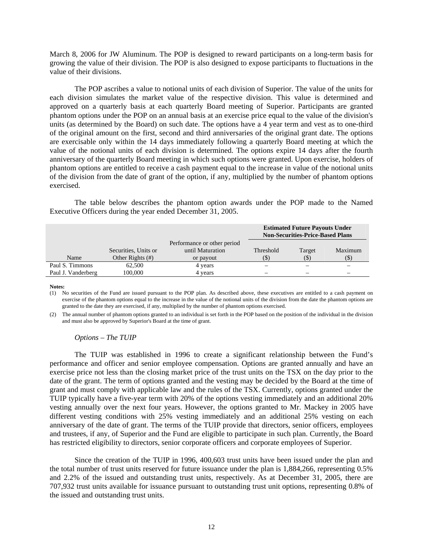March 8, 2006 for JW Aluminum. The POP is designed to reward participants on a long-term basis for growing the value of their division. The POP is also designed to expose participants to fluctuations in the value of their divisions.

The POP ascribes a value to notional units of each division of Superior. The value of the units for each division simulates the market value of the respective division. This value is determined and approved on a quarterly basis at each quarterly Board meeting of Superior. Participants are granted phantom options under the POP on an annual basis at an exercise price equal to the value of the division's units (as determined by the Board) on such date. The options have a 4 year term and vest as to one-third of the original amount on the first, second and third anniversaries of the original grant date. The options are exercisable only within the 14 days immediately following a quarterly Board meeting at which the value of the notional units of each division is determined. The options expire 14 days after the fourth anniversary of the quarterly Board meeting in which such options were granted. Upon exercise, holders of phantom options are entitled to receive a cash payment equal to the increase in value of the notional units of the division from the date of grant of the option, if any, multiplied by the number of phantom options exercised.

The table below describes the phantom option awards under the POP made to the Named Executive Officers during the year ended December 31, 2005.

|                    |                      |                             |           | <b>Estimated Future Payouts Under</b><br><b>Non-Securities-Price-Based Plans</b> |         |
|--------------------|----------------------|-----------------------------|-----------|----------------------------------------------------------------------------------|---------|
|                    |                      | Performance or other period |           |                                                                                  |         |
|                    | Securities, Units or | until Maturation            | Threshold | Target                                                                           | Maximum |
| Name               | Other Rights (#)     | or payout                   |           | (\$`                                                                             | $(\$)$  |
| Paul S. Timmons    | 62,500               | 4 years                     |           |                                                                                  |         |
| Paul J. Vanderberg | 100.000              | 4 years                     |           | —                                                                                |         |

**Notes:** 

(1) No securities of the Fund are issued pursuant to the POP plan. As described above, these executives are entitled to a cash payment on exercise of the phantom options equal to the increase in the value of the notional units of the division from the date the phantom options are granted to the date they are exercised, if any, multiplied by the number of phantom options exercised.

(2) The annual number of phantom options granted to an individual is set forth in the POP based on the position of the individual in the division and must also be approved by Superior's Board at the time of grant.

#### *Options – The TUIP*

The TUIP was established in 1996 to create a significant relationship between the Fund's performance and officer and senior employee compensation. Options are granted annually and have an exercise price not less than the closing market price of the trust units on the TSX on the day prior to the date of the grant. The term of options granted and the vesting may be decided by the Board at the time of grant and must comply with applicable law and the rules of the TSX. Currently, options granted under the TUIP typically have a five-year term with 20% of the options vesting immediately and an additional 20% vesting annually over the next four years. However, the options granted to Mr. Mackey in 2005 have different vesting conditions with 25% vesting immediately and an additional 25% vesting on each anniversary of the date of grant. The terms of the TUIP provide that directors, senior officers, employees and trustees, if any, of Superior and the Fund are eligible to participate in such plan. Currently, the Board has restricted eligibility to directors, senior corporate officers and corporate employees of Superior.

Since the creation of the TUIP in 1996, 400,603 trust units have been issued under the plan and the total number of trust units reserved for future issuance under the plan is 1,884,266, representing 0.5% and 2.2% of the issued and outstanding trust units, respectively. As at December 31, 2005, there are 707,932 trust units available for issuance pursuant to outstanding trust unit options, representing 0.8% of the issued and outstanding trust units.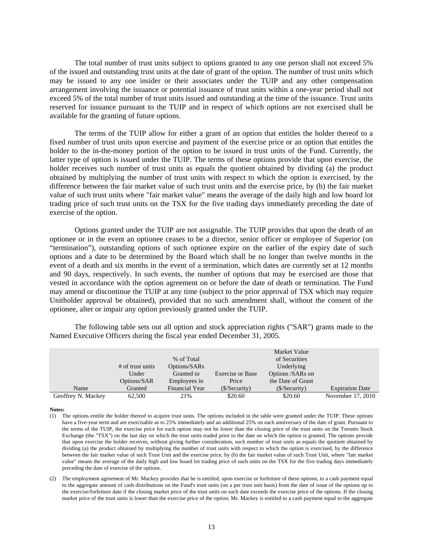The total number of trust units subject to options granted to any one person shall not exceed 5% of the issued and outstanding trust units at the date of grant of the option. The number of trust units which may be issued to any one insider or their associates under the TUIP and any other compensation arrangement involving the issuance or potential issuance of trust units within a one-year period shall not exceed 5% of the total number of trust units issued and outstanding at the time of the issuance. Trust units reserved for issuance pursuant to the TUIP and in respect of which options are not exercised shall be available for the granting of future options.

 The terms of the TUIP allow for either a grant of an option that entitles the holder thereof to a fixed number of trust units upon exercise and payment of the exercise price or an option that entitles the holder to the in-the-money portion of the option to be issued in trust units of the Fund. Currently, the latter type of option is issued under the TUIP. The terms of these options provide that upon exercise, the holder receives such number of trust units as equals the quotient obtained by dividing (a) the product obtained by multiplying the number of trust units with respect to which the option is exercised, by the difference between the fair market value of such trust units and the exercise price, by (b) the fair market value of such trust units where "fair market value" means the average of the daily high and low board lot trading price of such trust units on the TSX for the five trading days immediately preceding the date of exercise of the option.

Options granted under the TUIP are not assignable. The TUIP provides that upon the death of an optionee or in the event an optionee ceases to be a director, senior officer or employee of Superior (on "termination"), outstanding options of such optionee expire on the earlier of the expiry date of such options and a date to be determined by the Board which shall be no longer than twelve months in the event of a death and six months in the event of a termination, which dates are currently set at 12 months and 90 days, respectively. In such events, the number of options that may be exercised are those that vested in accordance with the option agreement on or before the date of death or termination. The Fund may amend or discontinue the TUIP at any time (subject to the prior approval of TSX which may require Unitholder approval be obtained), provided that no such amendment shall, without the consent of the optionee, alter or impair any option previously granted under the TUIP.

The following table sets out all option and stock appreciation rights ("SAR") grants made to the Named Executive Officers during the fiscal year ended December 31, 2005.

|                    |                    |                |                         | Market Value      |                        |
|--------------------|--------------------|----------------|-------------------------|-------------------|------------------------|
|                    |                    | % of Total     |                         | of Securities     |                        |
|                    | $#$ of trust units | Options/SARs   |                         | Underlying        |                        |
|                    | Under              | Granted to     | <b>Exercise or Base</b> | Options /SARs on  |                        |
|                    | Options/SAR        | Employees in   | Price                   | the Date of Grant |                        |
| Name               | Granted            | Financial Year | (S/Security)            | (S/Security)      | <b>Expiration Date</b> |
| Geoffrey N. Mackey | 62,500             | 21%            | \$20.60                 | \$20.60           | November 17, 2010      |

**Notes:** 

- (1) The options entitle the holder thereof to acquire trust units. The options included in the table were granted under the TUIP. These options have a five-year term and are exercisable as to 25% immediately and an additional 25% on each anniversary of the date of grant. Pursuant to the terms of the TUIP, the exercise price for each option may not be lower than the closing price of the trust units on the Toronto Stock Exchange (the "TSX") on the last day on which the trust units traded prior to the date on which the option is granted. The options provide that upon exercise the holder receives, without giving further consideration, such number of trust units as equals the quotient obtained by dividing (a) the product obtained by multiplying the number of trust units with respect to which the option is exercised, by the difference between the fair market value of such Trust Unit and the exercise price, by (b) the fair market value of such Trust Unit, where "fair market value" means the average of the daily high and low board lot trading price of such units on the TSX for the five trading days immediately preceding the date of exercise of the options.
- (2) The employment agreement of Mr. Mackey provides that he is entitled, upon exercise or forfeiture of these options, to a cash payment equal to the aggregate amount of cash distributions on the Fund's trust units (on a per trust unit basis) from the date of issue of the options up to the exercise/forfeiture date if the closing market price of the trust units on such date exceeds the exercise price of the options. If the closing market price of the trust units is lower than the exercise price of the option, Mr. Mackey is entitled to a cash payment equal to the aggregate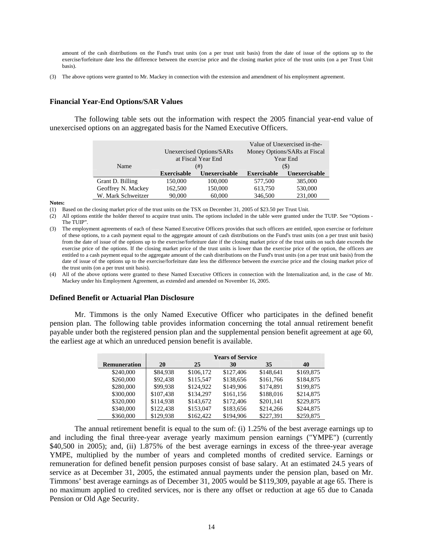amount of the cash distributions on the Fund's trust units (on a per trust unit basis) from the date of issue of the options up to the exercise/forfeiture date less the difference between the exercise price and the closing market price of the trust units (on a per Trust Unit basis).

(3) The above options were granted to Mr. Mackey in connection with the extension and amendment of his employment agreement.

## **Financial Year-End Options/SAR Values**

The following table sets out the information with respect the 2005 financial year-end value of unexercised options on an aggregated basis for the Named Executive Officers.

|                    |                    | Unexercised Options/SARs<br>at Fiscal Year End |                    | Value of Unexercised in-the-<br>Money Options/SARs at Fiscal<br>Year End |
|--------------------|--------------------|------------------------------------------------|--------------------|--------------------------------------------------------------------------|
| Name               |                    | (#)                                            |                    | (S)                                                                      |
|                    | <b>Exercisable</b> | Unexercisable                                  |                    |                                                                          |
|                    |                    |                                                | <b>Exercisable</b> | Unexercisable                                                            |
| Grant D. Billing   | 150,000            | 100,000                                        | 577,500            | 385,000                                                                  |
| Geoffrey N. Mackey | 162,500            | 150,000                                        | 613,750            | 530,000                                                                  |

**Notes:** 

(1) Based on the closing market price of the trust units on the TSX on December 31, 2005 of \$23.50 per Trust Unit.

(2) All options entitle the holder thereof to acquire trust units. The options included in the table were granted under the TUIP. See "Options - The TUIP".

(3) The employment agreements of each of these Named Executive Officers provides that such officers are entitled, upon exercise or forfeiture of these options, to a cash payment equal to the aggregate amount of cash distributions on the Fund's trust units (on a per trust unit basis) from the date of issue of the options up to the exercise/forfeiture date if the closing market price of the trust units on such date exceeds the exercise price of the options. If the closing market price of the trust units is lower than the exercise price of the option, the officers are entitled to a cash payment equal to the aggregate amount of the cash distributions on the Fund's trust units (on a per trust unit basis) from the date of issue of the options up to the exercise/forfeiture date less the difference between the exercise price and the closing market price of the trust units (on a per trust unit basis).

(4) All of the above options were granted to these Named Executive Officers in connection with the Internalization and, in the case of Mr. Mackey under his Employment Agreement, as extended and amended on November 16, 2005.

#### **Defined Benefit or Actuarial Plan Disclosure**

Mr. Timmons is the only Named Executive Officer who participates in the defined benefit pension plan. The following table provides information concerning the total annual retirement benefit payable under both the registered pension plan and the supplemental pension benefit agreement at age 60, the earliest age at which an unreduced pension benefit is available.

|                     |           |           | <b>Years of Service</b> |           |           |
|---------------------|-----------|-----------|-------------------------|-----------|-----------|
| <b>Remuneration</b> | 20        | 25        | 30                      | 35        | 40        |
| \$240,000           | \$84,938  | \$106,172 | \$127,406               | \$148,641 | \$169,875 |
| \$260,000           | \$92,438  | \$115,547 | \$138,656               | \$161,766 | \$184,875 |
| \$280,000           | \$99.938  | \$124,922 | \$149,906               | \$174.891 | \$199,875 |
| \$300,000           | \$107,438 | \$134.297 | \$161,156               | \$188,016 | \$214,875 |
| \$320,000           | \$114.938 | \$143,672 | \$172,406               | \$201.141 | \$229,875 |
| \$340,000           | \$122,438 | \$153,047 | \$183,656               | \$214,266 | \$244,875 |
| \$360,000           | \$129.938 | \$162,422 | \$194.906               | \$227.391 | \$259,875 |

The annual retirement benefit is equal to the sum of: (i) 1.25% of the best average earnings up to and including the final three-year average yearly maximum pension earnings ("YMPE") (currently \$40,500 in 2005); and, (ii) 1.875% of the best average earnings in excess of the three-year average YMPE, multiplied by the number of years and completed months of credited service. Earnings or remuneration for defined benefit pension purposes consist of base salary. At an estimated 24.5 years of service as at December 31, 2005, the estimated annual payments under the pension plan, based on Mr. Timmons' best average earnings as of December 31, 2005 would be \$119,309, payable at age 65. There is no maximum applied to credited services, nor is there any offset or reduction at age 65 due to Canada Pension or Old Age Security.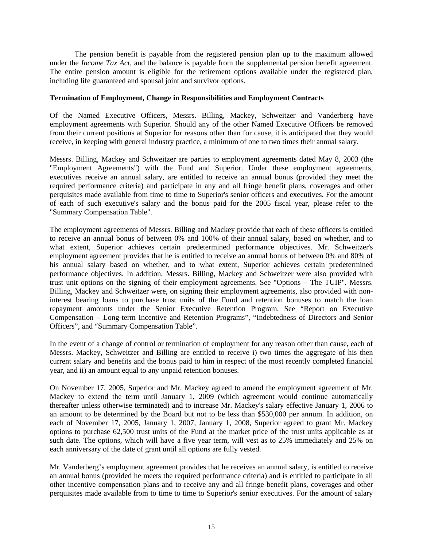The pension benefit is payable from the registered pension plan up to the maximum allowed under the *Income Tax Act*, and the balance is payable from the supplemental pension benefit agreement. The entire pension amount is eligible for the retirement options available under the registered plan, including life guaranteed and spousal joint and survivor options.

# **Termination of Employment, Change in Responsibilities and Employment Contracts**

Of the Named Executive Officers, Messrs. Billing, Mackey, Schweitzer and Vanderberg have employment agreements with Superior. Should any of the other Named Executive Officers be removed from their current positions at Superior for reasons other than for cause, it is anticipated that they would receive, in keeping with general industry practice, a minimum of one to two times their annual salary.

Messrs. Billing, Mackey and Schweitzer are parties to employment agreements dated May 8, 2003 (the "Employment Agreements") with the Fund and Superior. Under these employment agreements, executives receive an annual salary, are entitled to receive an annual bonus (provided they meet the required performance criteria) and participate in any and all fringe benefit plans, coverages and other perquisites made available from time to time to Superior's senior officers and executives. For the amount of each of such executive's salary and the bonus paid for the 2005 fiscal year, please refer to the "Summary Compensation Table".

The employment agreements of Messrs. Billing and Mackey provide that each of these officers is entitled to receive an annual bonus of between 0% and 100% of their annual salary, based on whether, and to what extent, Superior achieves certain predetermined performance objectives. Mr. Schweitzer's employment agreement provides that he is entitled to receive an annual bonus of between 0% and 80% of his annual salary based on whether, and to what extent, Superior achieves certain predetermined performance objectives. In addition, Messrs. Billing, Mackey and Schweitzer were also provided with trust unit options on the signing of their employment agreements. See "Options – The TUIP". Messrs. Billing, Mackey and Schweitzer were, on signing their employment agreements, also provided with noninterest bearing loans to purchase trust units of the Fund and retention bonuses to match the loan repayment amounts under the Senior Executive Retention Program. See "Report on Executive Compensation – Long-term Incentive and Retention Programs", "Indebtedness of Directors and Senior Officers", and "Summary Compensation Table".

In the event of a change of control or termination of employment for any reason other than cause, each of Messrs. Mackey, Schweitzer and Billing are entitled to receive i) two times the aggregate of his then current salary and benefits and the bonus paid to him in respect of the most recently completed financial year, and ii) an amount equal to any unpaid retention bonuses.

On November 17, 2005, Superior and Mr. Mackey agreed to amend the employment agreement of Mr. Mackey to extend the term until January 1, 2009 (which agreement would continue automatically thereafter unless otherwise terminated) and to increase Mr. Mackey's salary effective January 1, 2006 to an amount to be determined by the Board but not to be less than \$530,000 per annum. In addition, on each of November 17, 2005, January 1, 2007, January 1, 2008, Superior agreed to grant Mr. Mackey options to purchase 62,500 trust units of the Fund at the market price of the trust units applicable as at such date. The options, which will have a five year term, will vest as to 25% immediately and 25% on each anniversary of the date of grant until all options are fully vested.

Mr. Vanderberg's employment agreement provides that he receives an annual salary, is entitled to receive an annual bonus (provided he meets the required performance criteria) and is entitled to participate in all other incentive compensation plans and to receive any and all fringe benefit plans, coverages and other perquisites made available from to time to time to Superior's senior executives. For the amount of salary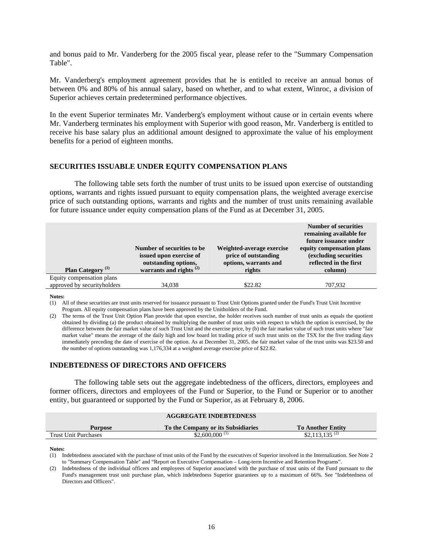and bonus paid to Mr. Vanderberg for the 2005 fiscal year, please refer to the "Summary Compensation Table".

Mr. Vanderberg's employment agreement provides that he is entitled to receive an annual bonus of between 0% and 80% of his annual salary, based on whether, and to what extent, Winroc, a division of Superior achieves certain predetermined performance objectives.

In the event Superior terminates Mr. Vanderberg's employment without cause or in certain events where Mr. Vanderberg terminates his employment with Superior with good reason, Mr. Vanderberg is entitled to receive his base salary plus an additional amount designed to approximate the value of his employment benefits for a period of eighteen months.

# **SECURITIES ISSUABLE UNDER EQUITY COMPENSATION PLANS**

The following table sets forth the number of trust units to be issued upon exercise of outstanding options, warrants and rights issued pursuant to equity compensation plans, the weighted average exercise price of such outstanding options, warrants and rights and the number of trust units remaining available for future issuance under equity compensation plans of the Fund as at December 31, 2005.

| Plan Category <sup>(1)</sup> | Number of securities to be.<br>issued upon exercise of<br>outstanding options,<br>warrants and rights $^{(2)}$ | Weighted-average exercise<br>price of outstanding<br>options, warrants and<br>rights | <b>Number of securities</b><br>remaining available for<br>future issuance under<br>equity compensation plans<br>(excluding securities<br>reflected in the first<br>column) |
|------------------------------|----------------------------------------------------------------------------------------------------------------|--------------------------------------------------------------------------------------|----------------------------------------------------------------------------------------------------------------------------------------------------------------------------|
| Equity compensation plans    |                                                                                                                |                                                                                      |                                                                                                                                                                            |
| approved by securityholders  | 34,038                                                                                                         | \$22.82                                                                              | 707.932                                                                                                                                                                    |

**Notes:** 

(1) All of these securities are trust units reserved for issuance pursuant to Trust Unit Options granted under the Fund's Trust Unit Incentive Program. All equity compensation plans have been approved by the Unitholders of the Fund.

(2) The terms of the Trust Unit Option Plan provide that upon exercise, the holder receives such number of trust units as equals the quotient obtained by dividing (a) the product obtained by multiplying the number of trust units with respect to which the option is exercised, by the difference between the fair market value of such Trust Unit and the exercise price, by (b) the fair market value of such trust units where "fair market value" means the average of the daily high and low board lot trading price of such trust units on the TSX for the five trading days immediately preceding the date of exercise of the option. As at December 31, 2005, the fair market value of the trust units was \$23.50 and the number of options outstanding was 1,176,334 at a weighted average exercise price of \$22.82.

# **INDEBTEDNESS OF DIRECTORS AND OFFICERS**

The following table sets out the aggregate indebtedness of the officers, directors, employees and former officers, directors and employees of the Fund or Superior, to the Fund or Superior or to another entity, but guaranteed or supported by the Fund or Superior, as at February 8, 2006.

|                             | <b>AGGREGATE INDEBTEDNESS</b>      |                            |
|-----------------------------|------------------------------------|----------------------------|
| <b>Purpose</b>              | To the Company or its Subsidiaries | <b>To Another Entity</b>   |
| <b>Trust Unit Purchases</b> | \$2,600,000 <sup>(1)</sup>         | \$2,113,135 <sup>(2)</sup> |

**Notes:** 

(1) Indebtedness associated with the purchase of trust units of the Fund by the executives of Superior involved in the Internalization. See Note 2 to "Summary Compensation Table" and "Report on Executive Compensation – Long-term Incentive and Retention Programs".

(2) Indebtedness of the individual officers and employees of Superior associated with the purchase of trust units of the Fund pursuant to the Fund's management trust unit purchase plan, which indebtedness Superior guarantees up to a maximum of 66%. See "Indebtedness of Directors and Officers".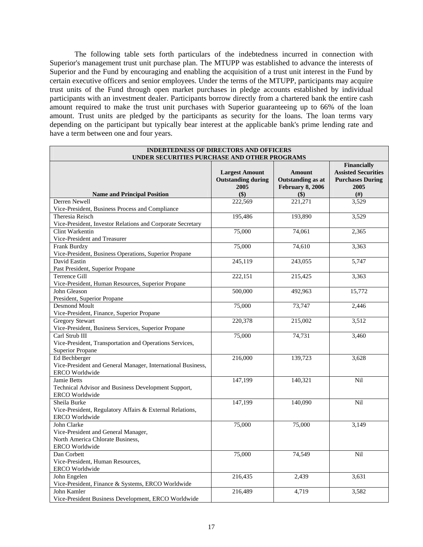The following table sets forth particulars of the indebtedness incurred in connection with Superior's management trust unit purchase plan. The MTUPP was established to advance the interests of Superior and the Fund by encouraging and enabling the acquisition of a trust unit interest in the Fund by certain executive officers and senior employees. Under the terms of the MTUPP, participants may acquire trust units of the Fund through open market purchases in pledge accounts established by individual participants with an investment dealer. Participants borrow directly from a chartered bank the entire cash amount required to make the trust unit purchases with Superior guaranteeing up to 66% of the loan amount. Trust units are pledged by the participants as security for the loans. The loan terms vary depending on the participant but typically bear interest at the applicable bank's prime lending rate and have a term between one and four years.

| <b>INDEBTEDNESS OF DIRECTORS AND OFFICERS</b><br>UNDER SECURITIES PURCHASE AND OTHER PROGRAMS |                                                    |                                           |                                                                      |
|-----------------------------------------------------------------------------------------------|----------------------------------------------------|-------------------------------------------|----------------------------------------------------------------------|
|                                                                                               | <b>Largest Amount</b><br><b>Outstanding during</b> | <b>Amount</b><br><b>Outstanding as at</b> | Financially<br><b>Assisted Securities</b><br><b>Purchases During</b> |
|                                                                                               | 2005                                               | <b>February 8, 2006</b>                   | 2005                                                                 |
| <b>Name and Principal Position</b>                                                            | \$)                                                | $($ \$                                    | $(\#)$                                                               |
| Derren Newell                                                                                 | 222,569                                            | 221,271                                   | 3,529                                                                |
| Vice-President, Business Process and Compliance                                               |                                                    |                                           |                                                                      |
| Theresia Reisch                                                                               | 195,486                                            | 193,890                                   | 3,529                                                                |
| Vice-President, Investor Relations and Corporate Secretary                                    |                                                    |                                           |                                                                      |
| Clint Warkentin                                                                               | 75,000                                             | 74,061                                    | 2,365                                                                |
| Vice-President and Treasurer                                                                  |                                                    |                                           |                                                                      |
| <b>Frank Burdzy</b>                                                                           | 75,000                                             | 74,610                                    | 3,363                                                                |
| Vice-President, Business Operations, Superior Propane                                         |                                                    |                                           |                                                                      |
| David Eastin                                                                                  | 245,119                                            | 243,055                                   | 5,747                                                                |
| Past President, Superior Propane                                                              |                                                    |                                           |                                                                      |
| Terrence Gill                                                                                 | 222,151                                            | 215,425                                   | 3,363                                                                |
| Vice-President, Human Resources, Superior Propane                                             |                                                    |                                           |                                                                      |
| John Gleason                                                                                  | 500,000                                            | 492,963                                   | 15,772                                                               |
| President, Superior Propane                                                                   |                                                    |                                           |                                                                      |
| <b>Desmond Moult</b>                                                                          | 75,000                                             | 73,747                                    | 2,446                                                                |
| Vice-President, Finance, Superior Propane                                                     |                                                    |                                           |                                                                      |
| <b>Gregory Stewart</b>                                                                        | 220,378                                            | 215,002                                   | 3,512                                                                |
| Vice-President, Business Services, Superior Propane                                           |                                                    |                                           |                                                                      |
| Carl Strub III                                                                                | 75,000                                             | 74,731                                    | 3,460                                                                |
| Vice-President, Transportation and Operations Services,                                       |                                                    |                                           |                                                                      |
| <b>Superior Propane</b>                                                                       |                                                    |                                           |                                                                      |
| Ed Bechberger                                                                                 | 216,000                                            | 139,723                                   | 3,628                                                                |
| Vice-President and General Manager, International Business,                                   |                                                    |                                           |                                                                      |
| <b>ERCO</b> Worldwide                                                                         |                                                    |                                           |                                                                      |
| <b>Jamie Betts</b>                                                                            | 147,199                                            | 140,321                                   | Nil                                                                  |
| Technical Advisor and Business Development Support,                                           |                                                    |                                           |                                                                      |
| <b>ERCO</b> Worldwide                                                                         |                                                    |                                           |                                                                      |
| Sheila Burke                                                                                  | 147,199                                            | 140,090                                   | Nil                                                                  |
| Vice-President, Regulatory Affairs & External Relations,                                      |                                                    |                                           |                                                                      |
| <b>ERCO</b> Worldwide                                                                         |                                                    |                                           |                                                                      |
| John Clarke                                                                                   | 75,000                                             | 75,000                                    | 3.149                                                                |
| Vice-President and General Manager,                                                           |                                                    |                                           |                                                                      |
| North America Chlorate Business,                                                              |                                                    |                                           |                                                                      |
| <b>ERCO</b> Worldwide                                                                         |                                                    |                                           |                                                                      |
| Dan Corbett                                                                                   | 75,000                                             | 74,549                                    | Nil                                                                  |
| Vice-President, Human Resources,                                                              |                                                    |                                           |                                                                      |
| <b>ERCO</b> Worldwide                                                                         |                                                    |                                           |                                                                      |
| John Engelen                                                                                  | 216,435                                            | 2,439                                     | 3,631                                                                |
| Vice-President, Finance & Systems, ERCO Worldwide                                             |                                                    |                                           |                                                                      |
| John Kamler                                                                                   | 216,489                                            | 4,719                                     | 3,582                                                                |
| Vice-President Business Development, ERCO Worldwide                                           |                                                    |                                           |                                                                      |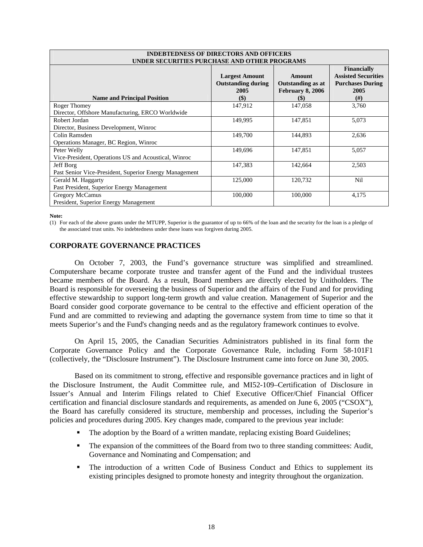| <b>INDEBTEDNESS OF DIRECTORS AND OFFICERS</b><br>UNDER SECURITIES PURCHASE AND OTHER PROGRAMS |                                                                   |                                                                       |                                                                                           |
|-----------------------------------------------------------------------------------------------|-------------------------------------------------------------------|-----------------------------------------------------------------------|-------------------------------------------------------------------------------------------|
| <b>Name and Principal Position</b>                                                            | <b>Largest Amount</b><br><b>Outstanding during</b><br>2005<br>\$) | Amount<br><b>Outstanding as at</b><br>February 8, 2006<br><b>(\$)</b> | <b>Financially</b><br><b>Assisted Securities</b><br><b>Purchases During</b><br>2005<br>#) |
| Roger Thomey                                                                                  | 147,912                                                           | 147,058                                                               | 3,760                                                                                     |
| Director, Offshore Manufacturing, ERCO Worldwide                                              |                                                                   |                                                                       |                                                                                           |
| Robert Jordan                                                                                 | 149,995                                                           | 147,851                                                               | 5,073                                                                                     |
| Director, Business Development, Winroc                                                        |                                                                   |                                                                       |                                                                                           |
| Colin Ramsden                                                                                 | 149,700                                                           | 144,893                                                               | 2,636                                                                                     |
| Operations Manager, BC Region, Winroc                                                         |                                                                   |                                                                       |                                                                                           |
| Peter Welly                                                                                   | 149,696                                                           | 147,851                                                               | 5,057                                                                                     |
| Vice-President, Operations US and Acoustical, Winroc                                          |                                                                   |                                                                       |                                                                                           |
| Jeff Borg                                                                                     | 147,383                                                           | 142,664                                                               | 2,503                                                                                     |
| Past Senior Vice-President, Superior Energy Management                                        |                                                                   |                                                                       |                                                                                           |
| Gerald M. Haggarty                                                                            | 125,000                                                           | 120,732                                                               | Nil                                                                                       |
| Past President, Superior Energy Management                                                    |                                                                   |                                                                       |                                                                                           |
| Gregory McCamus                                                                               | 100,000                                                           | 100,000                                                               | 4,175                                                                                     |
| President, Superior Energy Management                                                         |                                                                   |                                                                       |                                                                                           |

**Note:** 

(1) For each of the above grants under the MTUPP, Superior is the guarantor of up to 66% of the loan and the security for the loan is a pledge of the associated trust units. No indebtedness under these loans was forgiven during 2005.

# **CORPORATE GOVERNANCE PRACTICES**

On October 7, 2003, the Fund's governance structure was simplified and streamlined. Computershare became corporate trustee and transfer agent of the Fund and the individual trustees became members of the Board. As a result, Board members are directly elected by Unitholders. The Board is responsible for overseeing the business of Superior and the affairs of the Fund and for providing effective stewardship to support long-term growth and value creation. Management of Superior and the Board consider good corporate governance to be central to the effective and efficient operation of the Fund and are committed to reviewing and adapting the governance system from time to time so that it meets Superior's and the Fund's changing needs and as the regulatory framework continues to evolve.

On April 15, 2005, the Canadian Securities Administrators published in its final form the Corporate Governance Policy and the Corporate Governance Rule, including Form 58-101F1 (collectively, the "Disclosure Instrument"). The Disclosure Instrument came into force on June 30, 2005.

Based on its commitment to strong, effective and responsible governance practices and in light of the Disclosure Instrument, the Audit Committee rule, and MI52-109–Certification of Disclosure in Issuer's Annual and Interim Filings related to Chief Executive Officer/Chief Financial Officer certification and financial disclosure standards and requirements, as amended on June 6, 2005 ("CSOX"), the Board has carefully considered its structure, membership and processes, including the Superior's policies and procedures during 2005. Key changes made, compared to the previous year include:

- The adoption by the Board of a written mandate, replacing existing Board Guidelines;
- The expansion of the committees of the Board from two to three standing committees: Audit, Governance and Nominating and Compensation; and
- The introduction of a written Code of Business Conduct and Ethics to supplement its existing principles designed to promote honesty and integrity throughout the organization.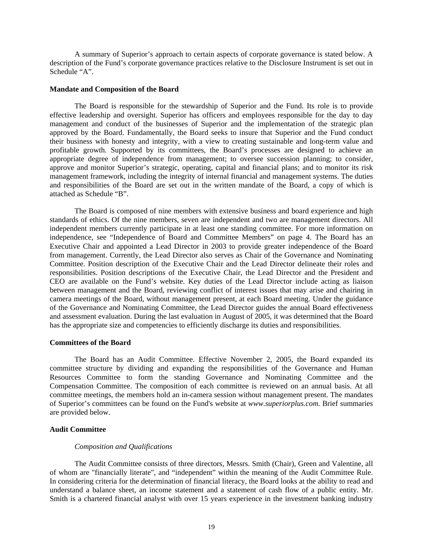A summary of Superior's approach to certain aspects of corporate governance is stated below. A description of the Fund's corporate governance practices relative to the Disclosure Instrument is set out in Schedule "A".

#### **Mandate and Composition of the Board**

The Board is responsible for the stewardship of Superior and the Fund. Its role is to provide effective leadership and oversight. Superior has officers and employees responsible for the day to day management and conduct of the businesses of Superior and the implementation of the strategic plan approved by the Board. Fundamentally, the Board seeks to insure that Superior and the Fund conduct their business with honesty and integrity, with a view to creating sustainable and long-term value and profitable growth. Supported by its committees, the Board's processes are designed to achieve an appropriate degree of independence from management; to oversee succession planning; to consider, approve and monitor Superior's strategic, operating, capital and financial plans; and to monitor its risk management framework, including the integrity of internal financial and management systems. The duties and responsibilities of the Board are set out in the written mandate of the Board, a copy of which is attached as Schedule "B".

 The Board is composed of nine members with extensive business and board experience and high standards of ethics. Of the nine members, seven are independent and two are management directors. All independent members currently participate in at least one standing committee. For more information on independence, see "Independence of Board and Committee Members" on page 4. The Board has an Executive Chair and appointed a Lead Director in 2003 to provide greater independence of the Board from management. Currently, the Lead Director also serves as Chair of the Governance and Nominating Committee. Position description of the Executive Chair and the Lead Director delineate their roles and responsibilities. Position descriptions of the Executive Chair, the Lead Director and the President and CEO are available on the Fund's website. Key duties of the Lead Director include acting as liaison between management and the Board, reviewing conflict of interest issues that may arise and chairing in camera meetings of the Board, without management present, at each Board meeting. Under the guidance of the Governance and Nominating Committee, the Lead Director guides the annual Board effectiveness and assessment evaluation. During the last evaluation in August of 2005, it was determined that the Board has the appropriate size and competencies to efficiently discharge its duties and responsibilities.

# **Committees of the Board**

The Board has an Audit Committee. Effective November 2, 2005, the Board expanded its committee structure by dividing and expanding the responsibilities of the Governance and Human Resources Committee to form the standing Governance and Nominating Committee and the Compensation Committee. The composition of each committee is reviewed on an annual basis. At all committee meetings, the members hold an in-camera session without management present. The mandates of Superior's committees can be found on the Fund's website at *www.superiorplus.com*. Brief summaries are provided below.

# **Audit Committee**

# *Composition and Qualifications*

The Audit Committee consists of three directors, Messrs. Smith (Chair), Green and Valentine, all of whom are "financially literate", and "independent" within the meaning of the Audit Committee Rule. In considering criteria for the determination of financial literacy, the Board looks at the ability to read and understand a balance sheet, an income statement and a statement of cash flow of a public entity. Mr. Smith is a chartered financial analyst with over 15 years experience in the investment banking industry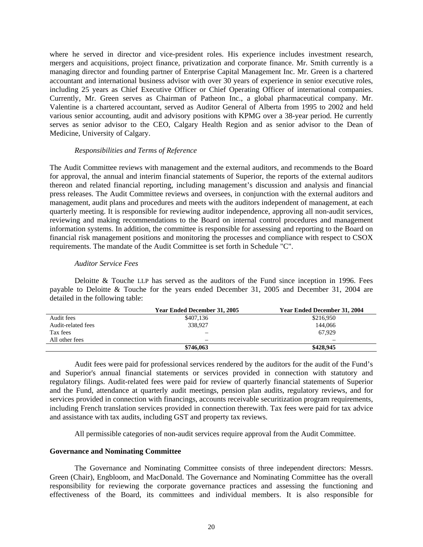where he served in director and vice-president roles. His experience includes investment research, mergers and acquisitions, project finance, privatization and corporate finance. Mr. Smith currently is a managing director and founding partner of Enterprise Capital Management Inc. Mr. Green is a chartered accountant and international business advisor with over 30 years of experience in senior executive roles, including 25 years as Chief Executive Officer or Chief Operating Officer of international companies. Currently, Mr. Green serves as Chairman of Patheon Inc., a global pharmaceutical company. Mr. Valentine is a chartered accountant, served as Auditor General of Alberta from 1995 to 2002 and held various senior accounting, audit and advisory positions with KPMG over a 38-year period. He currently serves as senior advisor to the CEO, Calgary Health Region and as senior advisor to the Dean of Medicine, University of Calgary.

# *Responsibilities and Terms of Reference*

The Audit Committee reviews with management and the external auditors, and recommends to the Board for approval, the annual and interim financial statements of Superior, the reports of the external auditors thereon and related financial reporting, including management's discussion and analysis and financial press releases. The Audit Committee reviews and oversees, in conjunction with the external auditors and management, audit plans and procedures and meets with the auditors independent of management, at each quarterly meeting. It is responsible for reviewing auditor independence, approving all non-audit services, reviewing and making recommendations to the Board on internal control procedures and management information systems. In addition, the committee is responsible for assessing and reporting to the Board on financial risk management positions and monitoring the processes and compliance with respect to CSOX requirements. The mandate of the Audit Committee is set forth in Schedule "C".

#### *Auditor Service Fees*

Deloitte & Touche LLP has served as the auditors of the Fund since inception in 1996. Fees payable to Deloitte & Touche for the years ended December 31, 2005 and December 31, 2004 are detailed in the following table:

|                    | Year Ended December 31, 2005 | <b>Year Ended December 31, 2004</b> |
|--------------------|------------------------------|-------------------------------------|
| Audit fees         | \$407,136                    | \$216,950                           |
| Audit-related fees | 338,927                      | 144,066                             |
| Tax fees           | —                            | 67.929                              |
| All other fees     | $\overline{\phantom{0}}$     | $\overline{\phantom{0}}$            |
|                    | \$746,063                    | \$428,945                           |

Audit fees were paid for professional services rendered by the auditors for the audit of the Fund's and Superior's annual financial statements or services provided in connection with statutory and regulatory filings. Audit-related fees were paid for review of quarterly financial statements of Superior and the Fund, attendance at quarterly audit meetings, pension plan audits, regulatory reviews, and for services provided in connection with financings, accounts receivable securitization program requirements, including French translation services provided in connection therewith. Tax fees were paid for tax advice and assistance with tax audits, including GST and property tax reviews.

All permissible categories of non-audit services require approval from the Audit Committee.

#### **Governance and Nominating Committee**

The Governance and Nominating Committee consists of three independent directors: Messrs. Green (Chair), Engbloom, and MacDonald. The Governance and Nominating Committee has the overall responsibility for reviewing the corporate governance practices and assessing the functioning and effectiveness of the Board, its committees and individual members. It is also responsible for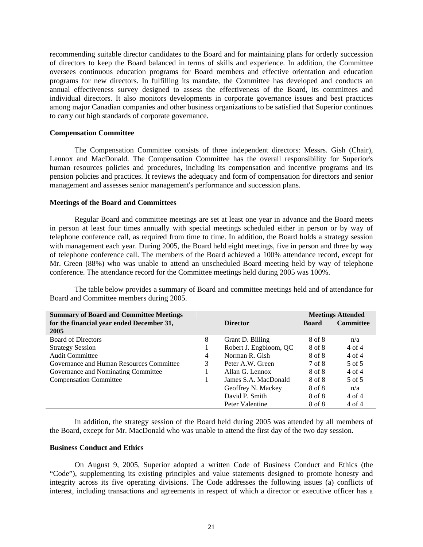recommending suitable director candidates to the Board and for maintaining plans for orderly succession of directors to keep the Board balanced in terms of skills and experience. In addition, the Committee oversees continuous education programs for Board members and effective orientation and education programs for new directors. In fulfilling its mandate, the Committee has developed and conducts an annual effectiveness survey designed to assess the effectiveness of the Board, its committees and individual directors. It also monitors developments in corporate governance issues and best practices among major Canadian companies and other business organizations to be satisfied that Superior continues to carry out high standards of corporate governance.

## **Compensation Committee**

The Compensation Committee consists of three independent directors: Messrs. Gish (Chair), Lennox and MacDonald. The Compensation Committee has the overall responsibility for Superior's human resources policies and procedures, including its compensation and incentive programs and its pension policies and practices. It reviews the adequacy and form of compensation for directors and senior management and assesses senior management's performance and succession plans.

#### **Meetings of the Board and Committees**

Regular Board and committee meetings are set at least one year in advance and the Board meets in person at least four times annually with special meetings scheduled either in person or by way of telephone conference call, as required from time to time. In addition, the Board holds a strategy session with management each year. During 2005, the Board held eight meetings, five in person and three by way of telephone conference call. The members of the Board achieved a 100% attendance record, except for Mr. Green (88%) who was unable to attend an unscheduled Board meeting held by way of telephone conference. The attendance record for the Committee meetings held during 2005 was 100%.

 The table below provides a summary of Board and committee meetings held and of attendance for Board and Committee members during 2005.

| <b>Summary of Board and Committee Meetings</b><br>for the financial year ended December 31, |   | <b>Director</b>        | <b>Board</b> | <b>Meetings Attended</b><br><b>Committee</b> |
|---------------------------------------------------------------------------------------------|---|------------------------|--------------|----------------------------------------------|
| 2005                                                                                        |   |                        |              |                                              |
| <b>Board of Directors</b>                                                                   | 8 | Grant D. Billing       | 8 of 8       | n/a                                          |
| <b>Strategy Session</b>                                                                     |   | Robert J. Engbloom, QC | 8 of 8       | 4 of 4                                       |
| <b>Audit Committee</b>                                                                      | 4 | Norman R. Gish         | 8 of 8       | $4$ of $4$                                   |
| Governance and Human Resources Committee                                                    | 3 | Peter A.W. Green       | 7 of 8       | 5 of 5                                       |
| Governance and Nominating Committee                                                         |   | Allan G. Lennox        | 8 of 8       | $4$ of $4$                                   |
| <b>Compensation Committee</b>                                                               |   | James S.A. MacDonald   | 8 of 8       | 5 of 5                                       |
|                                                                                             |   | Geoffrey N. Mackey     | 8 of 8       | n/a                                          |
|                                                                                             |   | David P. Smith         | 8 of 8       | 4 of 4                                       |
|                                                                                             |   | Peter Valentine        | 8 of 8       | 4 of 4                                       |

In addition, the strategy session of the Board held during 2005 was attended by all members of the Board, except for Mr. MacDonald who was unable to attend the first day of the two day session.

#### **Business Conduct and Ethics**

On August 9, 2005, Superior adopted a written Code of Business Conduct and Ethics (the "Code"), supplementing its existing principles and value statements designed to promote honesty and integrity across its five operating divisions. The Code addresses the following issues (a) conflicts of interest, including transactions and agreements in respect of which a director or executive officer has a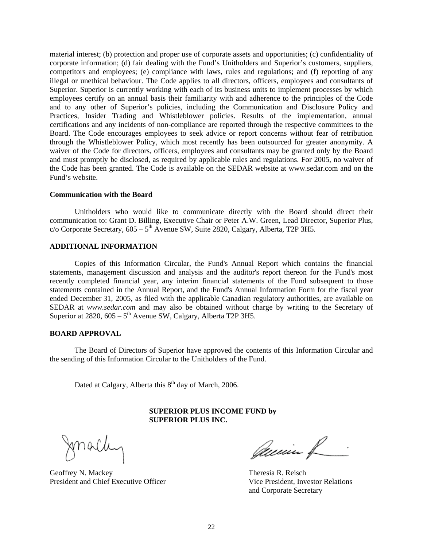material interest; (b) protection and proper use of corporate assets and opportunities; (c) confidentiality of corporate information; (d) fair dealing with the Fund's Unitholders and Superior's customers, suppliers, competitors and employees; (e) compliance with laws, rules and regulations; and (f) reporting of any illegal or unethical behaviour. The Code applies to all directors, officers, employees and consultants of Superior. Superior is currently working with each of its business units to implement processes by which employees certify on an annual basis their familiarity with and adherence to the principles of the Code and to any other of Superior's policies, including the Communication and Disclosure Policy and Practices, Insider Trading and Whistleblower policies. Results of the implementation, annual certifications and any incidents of non-compliance are reported through the respective committees to the Board. The Code encourages employees to seek advice or report concerns without fear of retribution through the Whistleblower Policy, which most recently has been outsourced for greater anonymity. A waiver of the Code for directors, officers, employees and consultants may be granted only by the Board and must promptly be disclosed, as required by applicable rules and regulations. For 2005, no waiver of the Code has been granted. The Code is available on the SEDAR website at www.sedar.com and on the Fund's website.

# **Communication with the Board**

Unitholders who would like to communicate directly with the Board should direct their communication to: Grant D. Billing, Executive Chair or Peter A.W. Green, Lead Director, Superior Plus,  $c$ /o Corporate Secretary,  $605 - 5<sup>th</sup>$  Avenue SW, Suite 2820, Calgary, Alberta, T2P 3H5.

### **ADDITIONAL INFORMATION**

Copies of this Information Circular, the Fund's Annual Report which contains the financial statements, management discussion and analysis and the auditor's report thereon for the Fund's most recently completed financial year, any interim financial statements of the Fund subsequent to those statements contained in the Annual Report, and the Fund's Annual Information Form for the fiscal year ended December 31, 2005, as filed with the applicable Canadian regulatory authorities, are available on SEDAR at *www.sedar.com* and may also be obtained without charge by writing to the Secretary of Superior at  $2820, 605 - 5$ <sup>th</sup> Avenue SW, Calgary, Alberta T2P 3H5.

# **BOARD APPROVAL**

The Board of Directors of Superior have approved the contents of this Information Circular and the sending of this Information Circular to the Unitholders of the Fund.

Dated at Calgary, Alberta this  $8<sup>th</sup>$  day of March, 2006.

# **SUPERIOR PLUS INCOME FUND by SUPERIOR PLUS INC.**

Jonalle

Geoffrey N. Mackey **Theresia R. Reisch** President and Chief Executive Officer Vice President, Investor Relations

Quein f

and Corporate Secretary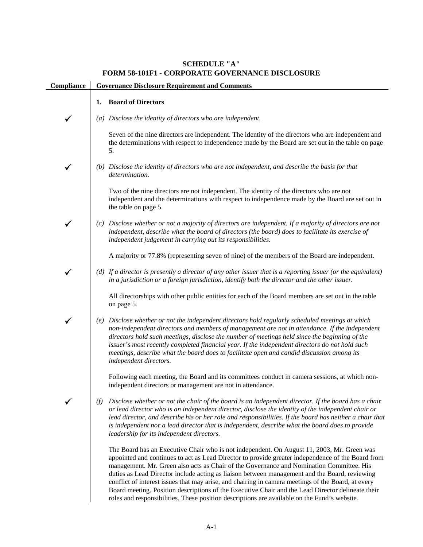# **SCHEDULE "A" FORM 58-101F1 - CORPORATE GOVERNANCE DISCLOSURE**

| Compliance | <b>Governance Disclosure Requirement and Comments</b>                                                                                                                                                                                                                                                                                                                                                                                                                                                                                                                                                                                                                                                   |
|------------|---------------------------------------------------------------------------------------------------------------------------------------------------------------------------------------------------------------------------------------------------------------------------------------------------------------------------------------------------------------------------------------------------------------------------------------------------------------------------------------------------------------------------------------------------------------------------------------------------------------------------------------------------------------------------------------------------------|
|            | <b>Board of Directors</b><br>1.                                                                                                                                                                                                                                                                                                                                                                                                                                                                                                                                                                                                                                                                         |
|            | (a) Disclose the identity of directors who are independent.                                                                                                                                                                                                                                                                                                                                                                                                                                                                                                                                                                                                                                             |
|            | Seven of the nine directors are independent. The identity of the directors who are independent and<br>the determinations with respect to independence made by the Board are set out in the table on page<br>5.                                                                                                                                                                                                                                                                                                                                                                                                                                                                                          |
|            | (b) Disclose the identity of directors who are not independent, and describe the basis for that<br>determination.                                                                                                                                                                                                                                                                                                                                                                                                                                                                                                                                                                                       |
|            | Two of the nine directors are not independent. The identity of the directors who are not<br>independent and the determinations with respect to independence made by the Board are set out in<br>the table on page 5.                                                                                                                                                                                                                                                                                                                                                                                                                                                                                    |
|            | (c) Disclose whether or not a majority of directors are independent. If a majority of directors are not<br>independent, describe what the board of directors (the board) does to facilitate its exercise of<br>independent judgement in carrying out its responsibilities.                                                                                                                                                                                                                                                                                                                                                                                                                              |
|            | A majority or 77.8% (representing seven of nine) of the members of the Board are independent.                                                                                                                                                                                                                                                                                                                                                                                                                                                                                                                                                                                                           |
|            | (d) If a director is presently a director of any other issuer that is a reporting issuer (or the equivalent)<br>in a jurisdiction or a foreign jurisdiction, identify both the director and the other issuer.                                                                                                                                                                                                                                                                                                                                                                                                                                                                                           |
|            | All directorships with other public entities for each of the Board members are set out in the table<br>on page 5.                                                                                                                                                                                                                                                                                                                                                                                                                                                                                                                                                                                       |
|            | (e) Disclose whether or not the independent directors hold regularly scheduled meetings at which<br>non-independent directors and members of management are not in attendance. If the independent<br>directors hold such meetings, disclose the number of meetings held since the beginning of the<br>issuer's most recently completed financial year. If the independent directors do not hold such<br>meetings, describe what the board does to facilitate open and candid discussion among its<br>independent directors.                                                                                                                                                                             |
|            | Following each meeting, the Board and its committees conduct in camera sessions, at which non-<br>independent directors or management are not in attendance.                                                                                                                                                                                                                                                                                                                                                                                                                                                                                                                                            |
|            | Disclose whether or not the chair of the board is an independent director. If the board has a chair<br>(f)<br>or lead director who is an independent director, disclose the identity of the independent chair or<br>lead director, and describe his or her role and responsibilities. If the board has neither a chair that<br>is independent nor a lead director that is independent, describe what the board does to provide<br>leadership for its independent directors.                                                                                                                                                                                                                             |
|            | The Board has an Executive Chair who is not independent. On August 11, 2003, Mr. Green was<br>appointed and continues to act as Lead Director to provide greater independence of the Board from<br>management. Mr. Green also acts as Chair of the Governance and Nomination Committee. His<br>duties as Lead Director include acting as liaison between management and the Board, reviewing<br>conflict of interest issues that may arise, and chairing in camera meetings of the Board, at every<br>Board meeting. Position descriptions of the Executive Chair and the Lead Director delineate their<br>roles and responsibilities. These position descriptions are available on the Fund's website. |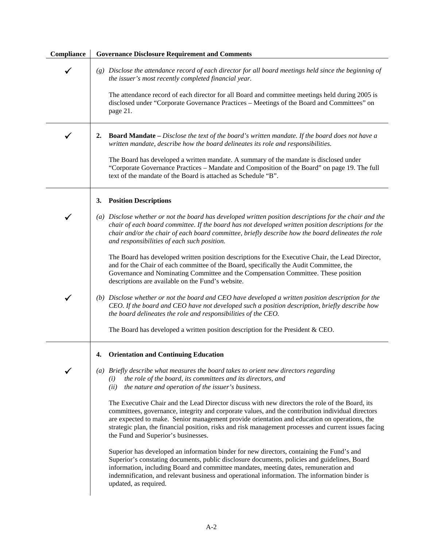| Compliance | <b>Governance Disclosure Requirement and Comments</b>                                                                                                                                                                                                                                                                                                                                                                                                |
|------------|------------------------------------------------------------------------------------------------------------------------------------------------------------------------------------------------------------------------------------------------------------------------------------------------------------------------------------------------------------------------------------------------------------------------------------------------------|
|            | (g) Disclose the attendance record of each director for all board meetings held since the beginning of<br>the issuer's most recently completed financial year.                                                                                                                                                                                                                                                                                       |
|            | The attendance record of each director for all Board and committee meetings held during 2005 is<br>disclosed under "Corporate Governance Practices - Meetings of the Board and Committees" on<br>page 21.                                                                                                                                                                                                                                            |
|            | <b>Board Mandate</b> – Disclose the text of the board's written mandate. If the board does not have a<br>2.<br>written mandate, describe how the board delineates its role and responsibilities.                                                                                                                                                                                                                                                     |
|            | The Board has developed a written mandate. A summary of the mandate is disclosed under<br>"Corporate Governance Practices - Mandate and Composition of the Board" on page 19. The full<br>text of the mandate of the Board is attached as Schedule "B".                                                                                                                                                                                              |
|            | <b>Position Descriptions</b><br>3.                                                                                                                                                                                                                                                                                                                                                                                                                   |
|            | (a) Disclose whether or not the board has developed written position descriptions for the chair and the<br>chair of each board committee. If the board has not developed written position descriptions for the<br>chair and/or the chair of each board committee, briefly describe how the board delineates the role<br>and responsibilities of each such position.                                                                                  |
|            | The Board has developed written position descriptions for the Executive Chair, the Lead Director,<br>and for the Chair of each committee of the Board, specifically the Audit Committee, the<br>Governance and Nominating Committee and the Compensation Committee. These position<br>descriptions are available on the Fund's website.                                                                                                              |
| ✔          | (b) Disclose whether or not the board and CEO have developed a written position description for the<br>CEO. If the board and CEO have not developed such a position description, briefly describe how<br>the board delineates the role and responsibilities of the CEO.                                                                                                                                                                              |
|            | The Board has developed a written position description for the President & CEO.                                                                                                                                                                                                                                                                                                                                                                      |
|            | <b>Orientation and Continuing Education</b><br>4.                                                                                                                                                                                                                                                                                                                                                                                                    |
|            | (a) Briefly describe what measures the board takes to orient new directors regarding<br>the role of the board, its committees and its directors, and<br>(i)<br>the nature and operation of the issuer's business.<br>(ii)                                                                                                                                                                                                                            |
|            | The Executive Chair and the Lead Director discuss with new directors the role of the Board, its<br>committees, governance, integrity and corporate values, and the contribution individual directors<br>are expected to make. Senior management provide orientation and education on operations, the<br>strategic plan, the financial position, risks and risk management processes and current issues facing<br>the Fund and Superior's businesses. |
|            | Superior has developed an information binder for new directors, containing the Fund's and<br>Superior's constating documents, public disclosure documents, policies and guidelines, Board<br>information, including Board and committee mandates, meeting dates, remuneration and<br>indemnification, and relevant business and operational information. The information binder is<br>updated, as required.                                          |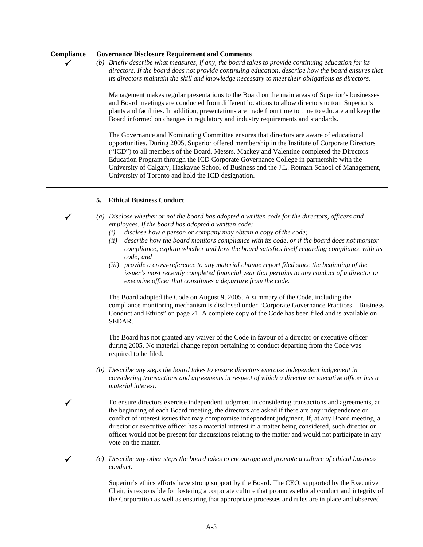| Compliance | <b>Governance Disclosure Requirement and Comments</b>                                                                                                                                                                                                                                                                                                                                                                                                                                                                                                                                                                                                                                                                    |
|------------|--------------------------------------------------------------------------------------------------------------------------------------------------------------------------------------------------------------------------------------------------------------------------------------------------------------------------------------------------------------------------------------------------------------------------------------------------------------------------------------------------------------------------------------------------------------------------------------------------------------------------------------------------------------------------------------------------------------------------|
|            | (b) Briefly describe what measures, if any, the board takes to provide continuing education for its<br>directors. If the board does not provide continuing education, describe how the board ensures that<br>its directors maintain the skill and knowledge necessary to meet their obligations as directors.                                                                                                                                                                                                                                                                                                                                                                                                            |
|            | Management makes regular presentations to the Board on the main areas of Superior's businesses<br>and Board meetings are conducted from different locations to allow directors to tour Superior's<br>plants and facilities. In addition, presentations are made from time to time to educate and keep the<br>Board informed on changes in regulatory and industry requirements and standards.                                                                                                                                                                                                                                                                                                                            |
|            | The Governance and Nominating Committee ensures that directors are aware of educational<br>opportunities. During 2005, Superior offered membership in the Institute of Corporate Directors<br>("ICD") to all members of the Board. Messrs. Mackey and Valentine completed the Directors<br>Education Program through the ICD Corporate Governance College in partnership with the<br>University of Calgary, Haskayne School of Business and the J.L. Rotman School of Management,<br>University of Toronto and hold the ICD designation.                                                                                                                                                                                 |
|            | <b>Ethical Business Conduct</b><br>5.                                                                                                                                                                                                                                                                                                                                                                                                                                                                                                                                                                                                                                                                                    |
| ✔          | (a) Disclose whether or not the board has adopted a written code for the directors, officers and<br>employees. If the board has adopted a written code:<br>disclose how a person or company may obtain a copy of the code;<br>(i)<br>describe how the board monitors compliance with its code, or if the board does not monitor<br>(ii)<br>compliance, explain whether and how the board satisfies itself regarding compliance with its<br>code; and<br>(iii) provide a cross-reference to any material change report filed since the beginning of the<br>issuer's most recently completed financial year that pertains to any conduct of a director or<br>executive officer that constitutes a departure from the code. |
|            | The Board adopted the Code on August 9, 2005. A summary of the Code, including the<br>compliance monitoring mechanism is disclosed under "Corporate Governance Practices - Business<br>Conduct and Ethics" on page 21. A complete copy of the Code has been filed and is available on<br>SEDAR.                                                                                                                                                                                                                                                                                                                                                                                                                          |
|            | The Board has not granted any waiver of the Code in favour of a director or executive officer<br>during 2005. No material change report pertaining to conduct departing from the Code was<br>required to be filed.                                                                                                                                                                                                                                                                                                                                                                                                                                                                                                       |
|            | (b) Describe any steps the board takes to ensure directors exercise independent judgement in<br>considering transactions and agreements in respect of which a director or executive officer has a<br>material interest.                                                                                                                                                                                                                                                                                                                                                                                                                                                                                                  |
|            | To ensure directors exercise independent judgment in considering transactions and agreements, at<br>the beginning of each Board meeting, the directors are asked if there are any independence or<br>conflict of interest issues that may compromise independent judgment. If, at any Board meeting, a<br>director or executive officer has a material interest in a matter being considered, such director or<br>officer would not be present for discussions relating to the matter and would not participate in any<br>vote on the matter.                                                                                                                                                                            |
|            | (c) Describe any other steps the board takes to encourage and promote a culture of ethical business<br>conduct.                                                                                                                                                                                                                                                                                                                                                                                                                                                                                                                                                                                                          |
|            | Superior's ethics efforts have strong support by the Board. The CEO, supported by the Executive<br>Chair, is responsible for fostering a corporate culture that promotes ethical conduct and integrity of<br>the Corporation as well as ensuring that appropriate processes and rules are in place and observed                                                                                                                                                                                                                                                                                                                                                                                                          |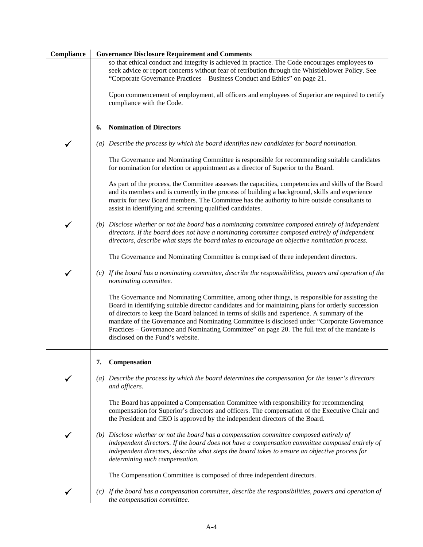| Compliance | <b>Governance Disclosure Requirement and Comments</b>                                                                                                                                                                                                                                                                                                                                                                                                                                                                                 |
|------------|---------------------------------------------------------------------------------------------------------------------------------------------------------------------------------------------------------------------------------------------------------------------------------------------------------------------------------------------------------------------------------------------------------------------------------------------------------------------------------------------------------------------------------------|
|            | so that ethical conduct and integrity is achieved in practice. The Code encourages employees to<br>seek advice or report concerns without fear of retribution through the Whistleblower Policy. See<br>"Corporate Governance Practices - Business Conduct and Ethics" on page 21.                                                                                                                                                                                                                                                     |
|            | Upon commencement of employment, all officers and employees of Superior are required to certify<br>compliance with the Code.                                                                                                                                                                                                                                                                                                                                                                                                          |
|            | <b>Nomination of Directors</b><br>6.                                                                                                                                                                                                                                                                                                                                                                                                                                                                                                  |
|            | (a) Describe the process by which the board identifies new candidates for board nomination.                                                                                                                                                                                                                                                                                                                                                                                                                                           |
|            | The Governance and Nominating Committee is responsible for recommending suitable candidates<br>for nomination for election or appointment as a director of Superior to the Board.                                                                                                                                                                                                                                                                                                                                                     |
|            | As part of the process, the Committee assesses the capacities, competencies and skills of the Board<br>and its members and is currently in the process of building a background, skills and experience<br>matrix for new Board members. The Committee has the authority to hire outside consultants to<br>assist in identifying and screening qualified candidates.                                                                                                                                                                   |
|            | (b) Disclose whether or not the board has a nominating committee composed entirely of independent<br>directors. If the board does not have a nominating committee composed entirely of independent<br>directors, describe what steps the board takes to encourage an objective nomination process.                                                                                                                                                                                                                                    |
|            | The Governance and Nominating Committee is comprised of three independent directors.                                                                                                                                                                                                                                                                                                                                                                                                                                                  |
|            | (c) If the board has a nominating committee, describe the responsibilities, powers and operation of the<br>nominating committee.                                                                                                                                                                                                                                                                                                                                                                                                      |
|            | The Governance and Nominating Committee, among other things, is responsible for assisting the<br>Board in identifying suitable director candidates and for maintaining plans for orderly succession<br>of directors to keep the Board balanced in terms of skills and experience. A summary of the<br>mandate of the Governance and Nominating Committee is disclosed under "Corporate Governance<br>Practices – Governance and Nominating Committee" on page 20. The full text of the mandate is<br>disclosed on the Fund's website. |
|            | Compensation<br>7.                                                                                                                                                                                                                                                                                                                                                                                                                                                                                                                    |
|            | (a) Describe the process by which the board determines the compensation for the issuer's directors<br>and officers.                                                                                                                                                                                                                                                                                                                                                                                                                   |
|            | The Board has appointed a Compensation Committee with responsibility for recommending<br>compensation for Superior's directors and officers. The compensation of the Executive Chair and<br>the President and CEO is approved by the independent directors of the Board.                                                                                                                                                                                                                                                              |
|            | (b) Disclose whether or not the board has a compensation committee composed entirely of<br>independent directors. If the board does not have a compensation committee composed entirely of<br>independent directors, describe what steps the board takes to ensure an objective process for<br>determining such compensation.                                                                                                                                                                                                         |
|            | The Compensation Committee is composed of three independent directors.                                                                                                                                                                                                                                                                                                                                                                                                                                                                |
|            | (c) If the board has a compensation committee, describe the responsibilities, powers and operation of<br>the compensation committee.                                                                                                                                                                                                                                                                                                                                                                                                  |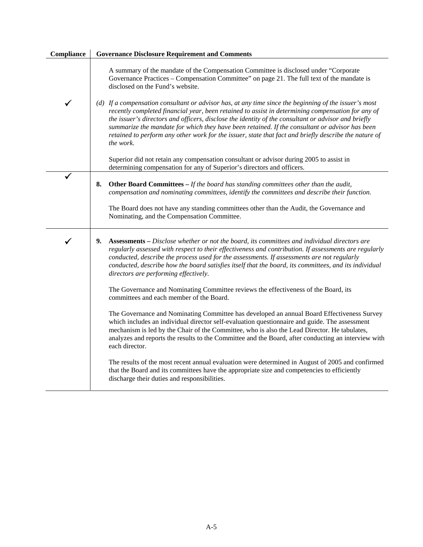| Compliance | <b>Governance Disclosure Requirement and Comments</b>                                                                                                                                                                                                                                                                                                                                                                                                                                                                                     |
|------------|-------------------------------------------------------------------------------------------------------------------------------------------------------------------------------------------------------------------------------------------------------------------------------------------------------------------------------------------------------------------------------------------------------------------------------------------------------------------------------------------------------------------------------------------|
|            | A summary of the mandate of the Compensation Committee is disclosed under "Corporate<br>Governance Practices – Compensation Committee" on page 21. The full text of the mandate is<br>disclosed on the Fund's website.                                                                                                                                                                                                                                                                                                                    |
| ✔          | (d) If a compensation consultant or advisor has, at any time since the beginning of the issuer's most<br>recently completed financial year, been retained to assist in determining compensation for any of<br>the issuer's directors and officers, disclose the identity of the consultant or advisor and briefly<br>summarize the mandate for which they have been retained. If the consultant or advisor has been<br>retained to perform any other work for the issuer, state that fact and briefly describe the nature of<br>the work. |
|            | Superior did not retain any compensation consultant or advisor during 2005 to assist in<br>determining compensation for any of Superior's directors and officers.                                                                                                                                                                                                                                                                                                                                                                         |
|            | 8.<br><b>Other Board Committees – If the board has standing committees other than the audit,</b><br>compensation and nominating committees, identify the committees and describe their function.                                                                                                                                                                                                                                                                                                                                          |
|            | The Board does not have any standing committees other than the Audit, the Governance and<br>Nominating, and the Compensation Committee.                                                                                                                                                                                                                                                                                                                                                                                                   |
| ✔          | Assessments – Disclose whether or not the board, its committees and individual directors are<br>9.<br>regularly assessed with respect to their effectiveness and contribution. If assessments are regularly<br>conducted, describe the process used for the assessments. If assessments are not regularly<br>conducted, describe how the board satisfies itself that the board, its committees, and its individual<br>directors are performing effectively.                                                                               |
|            | The Governance and Nominating Committee reviews the effectiveness of the Board, its<br>committees and each member of the Board.                                                                                                                                                                                                                                                                                                                                                                                                           |
|            | The Governance and Nominating Committee has developed an annual Board Effectiveness Survey<br>which includes an individual director self-evaluation questionnaire and guide. The assessment<br>mechanism is led by the Chair of the Committee, who is also the Lead Director. He tabulates,<br>analyzes and reports the results to the Committee and the Board, after conducting an interview with<br>each director.                                                                                                                      |
|            | The results of the most recent annual evaluation were determined in August of 2005 and confirmed<br>that the Board and its committees have the appropriate size and competencies to efficiently<br>discharge their duties and responsibilities.                                                                                                                                                                                                                                                                                           |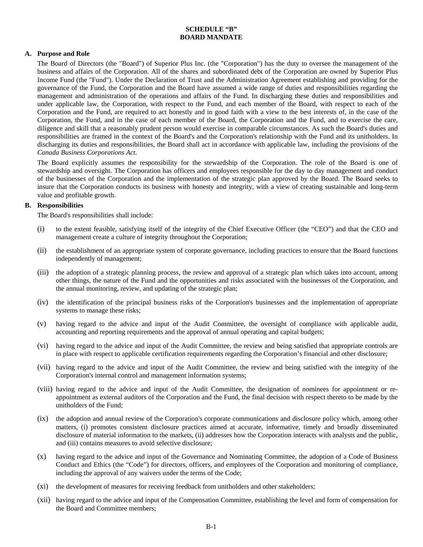# **SCHEDULE "B" BOARD MANDATE**

# **A. Purpose and Role**

 The Board of Directors (the "Board") of Superior Plus Inc. (the "Corporation") has the duty to oversee the management of the business and affairs of the Corporation. All of the shares and subordinated debt of the Corporation are owned by Superior Plus Income Fund (the "Fund"). Under the Declaration of Trust and the Administration Agreement establishing and providing for the governance of the Fund, the Corporation and the Board have assumed a wide range of duties and responsibilities regarding the management and administration of the operations and affairs of the Fund. In discharging these duties and responsibilities and under applicable law, the Corporation, with respect to the Fund, and each member of the Board, with respect to each of the Corporation and the Fund, are required to act honestly and in good faith with a view to the best interests of, in the case of the Corporation, the Fund, and in the case of each member of the Board, the Corporation and the Fund, and to exercise the care, diligence and skill that a reasonably prudent person would exercise in comparable circumstances. As such the Board's duties and responsibilities are framed in the context of the Board's and the Corporation's relationship with the Fund and its unitholders. In discharging its duties and responsibilities, the Board shall act in accordance with applicable law, including the provisions of the *Canada Business Corporations Act*.

 The Board explicitly assumes the responsibility for the stewardship of the Corporation. The role of the Board is one of stewardship and oversight. The Corporation has officers and employees responsible for the day to day management and conduct of the businesses of the Corporation and the implementation of the strategic plan approved by the Board. The Board seeks to insure that the Corporation conducts its business with honesty and integrity, with a view of creating sustainable and long-term value and profitable growth.

# **B. Responsibilities**

The Board's responsibilities shall include:

- (i) to the extent feasible, satisfying itself of the integrity of the Chief Executive Officer (the "CEO") and that the CEO and management create a culture of integrity throughout the Corporation;
- (ii) the establishment of an appropriate system of corporate governance, including practices to ensure that the Board functions independently of management;
- (iii) the adoption of a strategic planning process, the review and approval of a strategic plan which takes into account, among other things, the nature of the Fund and the opportunities and risks associated with the businesses of the Corporation, and the annual monitoring, review, and updating of the strategic plan;
- (iv) the identification of the principal business risks of the Corporation's businesses and the implementation of appropriate systems to manage these risks;
- (v) having regard to the advice and input of the Audit Committee, the oversight of compliance with applicable audit, accounting and reporting requirements and the approval of annual operating and capital budgets;
- (vi) having regard to the advice and input of the Audit Committee, the review and being satisfied that appropriate controls are in place with respect to applicable certification requirements regarding the Corporation's financial and other disclosure;
- (vii) having regard to the advice and input of the Audit Committee, the review and being satisfied with the integrity of the Corporation's internal control and management information systems;
- (viii) having regard to the advice and input of the Audit Committee, the designation of nominees for appointment or reappointment as external auditors of the Corporation and the Fund, the final decision with respect thereto to be made by the unitholders of the Fund;
- (ix) the adoption and annual review of the Corporation's corporate communications and disclosure policy which, among other matters, (i) promotes consistent disclosure practices aimed at accurate, informative, timely and broadly disseminated disclosure of material information to the markets, (ii) addresses how the Corporation interacts with analysts and the public, and (iii) contains measures to avoid selective disclosure;
- (x) having regard to the advice and input of the Governance and Nominating Committee, the adoption of a Code of Business Conduct and Ethics (the "Code") for directors, officers, and employees of the Corporation and monitoring of compliance, including the approval of any waivers under the terms of the Code;
- (xi) the development of measures for receiving feedback from unitholders and other stakeholders;
- (xii) having regard to the advice and input of the Compensation Committee, establishing the level and form of compensation for the Board and Committee members;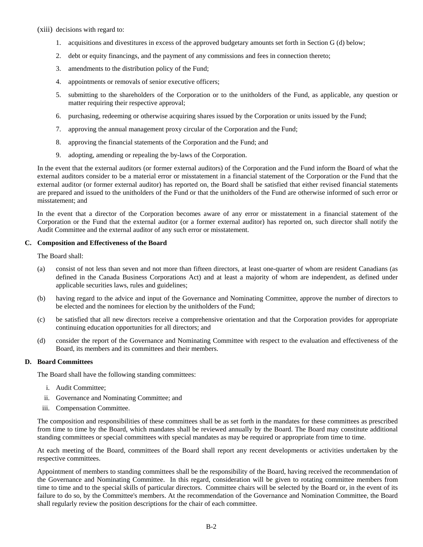(xiii) decisions with regard to:

- 1. acquisitions and divestitures in excess of the approved budgetary amounts set forth in Section G (d) below;
- 2. debt or equity financings, and the payment of any commissions and fees in connection thereto;
- 3. amendments to the distribution policy of the Fund;
- 4. appointments or removals of senior executive officers;
- 5. submitting to the shareholders of the Corporation or to the unitholders of the Fund, as applicable, any question or matter requiring their respective approval;
- 6. purchasing, redeeming or otherwise acquiring shares issued by the Corporation or units issued by the Fund;
- 7. approving the annual management proxy circular of the Corporation and the Fund;
- 8. approving the financial statements of the Corporation and the Fund; and
- 9. adopting, amending or repealing the by-laws of the Corporation.

In the event that the external auditors (or former external auditors) of the Corporation and the Fund inform the Board of what the external auditors consider to be a material error or misstatement in a financial statement of the Corporation or the Fund that the external auditor (or former external auditor) has reported on, the Board shall be satisfied that either revised financial statements are prepared and issued to the unitholders of the Fund or that the unitholders of the Fund are otherwise informed of such error or misstatement; and

In the event that a director of the Corporation becomes aware of any error or misstatement in a financial statement of the Corporation or the Fund that the external auditor (or a former external auditor) has reported on, such director shall notify the Audit Committee and the external auditor of any such error or misstatement.

## **C. Composition and Effectiveness of the Board**

The Board shall:

- (a) consist of not less than seven and not more than fifteen directors, at least one-quarter of whom are resident Canadians (as defined in the Canada Business Corporations Act) and at least a majority of whom are independent, as defined under applicable securities laws, rules and guidelines;
- (b) having regard to the advice and input of the Governance and Nominating Committee, approve the number of directors to be elected and the nominees for election by the unitholders of the Fund;
- (c) be satisfied that all new directors receive a comprehensive orientation and that the Corporation provides for appropriate continuing education opportunities for all directors; and
- (d) consider the report of the Governance and Nominating Committee with respect to the evaluation and effectiveness of the Board, its members and its committees and their members.

#### **D. Board Committees**

The Board shall have the following standing committees:

- i. Audit Committee;
- ii. Governance and Nominating Committee; and
- iii. Compensation Committee.

The composition and responsibilities of these committees shall be as set forth in the mandates for these committees as prescribed from time to time by the Board, which mandates shall be reviewed annually by the Board. The Board may constitute additional standing committees or special committees with special mandates as may be required or appropriate from time to time.

At each meeting of the Board, committees of the Board shall report any recent developments or activities undertaken by the respective committees.

Appointment of members to standing committees shall be the responsibility of the Board, having received the recommendation of the Governance and Nominating Committee. In this regard, consideration will be given to rotating committee members from time to time and to the special skills of particular directors. Committee chairs will be selected by the Board or, in the event of its failure to do so, by the Committee's members. At the recommendation of the Governance and Nomination Committee, the Board shall regularly review the position descriptions for the chair of each committee.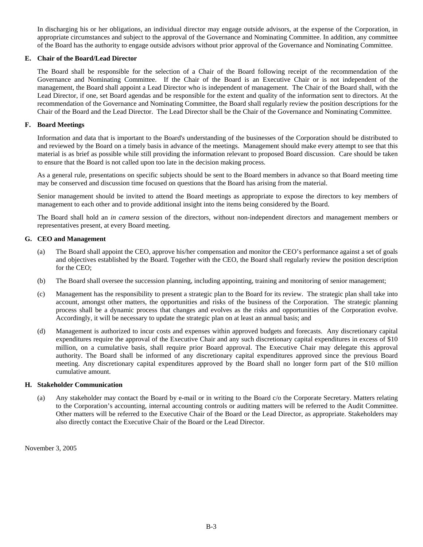In discharging his or her obligations, an individual director may engage outside advisors, at the expense of the Corporation, in appropriate circumstances and subject to the approval of the Governance and Nominating Committee. In addition, any committee of the Board has the authority to engage outside advisors without prior approval of the Governance and Nominating Committee.

# **E. Chair of the Board/Lead Director**

The Board shall be responsible for the selection of a Chair of the Board following receipt of the recommendation of the Governance and Nominating Committee. If the Chair of the Board is an Executive Chair or is not independent of the management, the Board shall appoint a Lead Director who is independent of management. The Chair of the Board shall, with the Lead Director, if one, set Board agendas and be responsible for the extent and quality of the information sent to directors. At the recommendation of the Governance and Nominating Committee, the Board shall regularly review the position descriptions for the Chair of the Board and the Lead Director. The Lead Director shall be the Chair of the Governance and Nominating Committee.

## **F. Board Meetings**

Information and data that is important to the Board's understanding of the businesses of the Corporation should be distributed to and reviewed by the Board on a timely basis in advance of the meetings. Management should make every attempt to see that this material is as brief as possible while still providing the information relevant to proposed Board discussion. Care should be taken to ensure that the Board is not called upon too late in the decision making process.

As a general rule, presentations on specific subjects should be sent to the Board members in advance so that Board meeting time may be conserved and discussion time focused on questions that the Board has arising from the material.

Senior management should be invited to attend the Board meetings as appropriate to expose the directors to key members of management to each other and to provide additional insight into the items being considered by the Board.

The Board shall hold an *in camera* session of the directors, without non-independent directors and management members or representatives present, at every Board meeting.

#### **G. CEO and Management**

- (a) The Board shall appoint the CEO, approve his/her compensation and monitor the CEO's performance against a set of goals and objectives established by the Board. Together with the CEO, the Board shall regularly review the position description for the CEO;
- (b) The Board shall oversee the succession planning, including appointing, training and monitoring of senior management;
- (c) Management has the responsibility to present a strategic plan to the Board for its review. The strategic plan shall take into account, amongst other matters, the opportunities and risks of the business of the Corporation. The strategic planning process shall be a dynamic process that changes and evolves as the risks and opportunities of the Corporation evolve. Accordingly, it will be necessary to update the strategic plan on at least an annual basis; and
- (d) Management is authorized to incur costs and expenses within approved budgets and forecasts. Any discretionary capital expenditures require the approval of the Executive Chair and any such discretionary capital expenditures in excess of \$10 million, on a cumulative basis, shall require prior Board approval. The Executive Chair may delegate this approval authority. The Board shall be informed of any discretionary capital expenditures approved since the previous Board meeting. Any discretionary capital expenditures approved by the Board shall no longer form part of the \$10 million cumulative amount.

#### **H. Stakeholder Communication**

(a) Any stakeholder may contact the Board by e-mail or in writing to the Board c/o the Corporate Secretary. Matters relating to the Corporation's accounting, internal accounting controls or auditing matters will be referred to the Audit Committee. Other matters will be referred to the Executive Chair of the Board or the Lead Director, as appropriate. Stakeholders may also directly contact the Executive Chair of the Board or the Lead Director.

November 3, 2005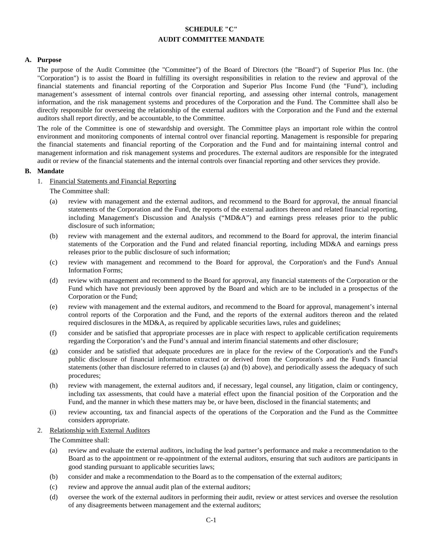# **SCHEDULE "C" AUDIT COMMITTEE MANDATE**

## **A. Purpose**

The purpose of the Audit Committee (the "Committee") of the Board of Directors (the "Board") of Superior Plus Inc. (the "Corporation") is to assist the Board in fulfilling its oversight responsibilities in relation to the review and approval of the financial statements and financial reporting of the Corporation and Superior Plus Income Fund (the "Fund"), including management's assessment of internal controls over financial reporting, and assessing other internal controls, management information, and the risk management systems and procedures of the Corporation and the Fund. The Committee shall also be directly responsible for overseeing the relationship of the external auditors with the Corporation and the Fund and the external auditors shall report directly, and be accountable, to the Committee.

The role of the Committee is one of stewardship and oversight. The Committee plays an important role within the control environment and monitoring components of internal control over financial reporting. Management is responsible for preparing the financial statements and financial reporting of the Corporation and the Fund and for maintaining internal control and management information and risk management systems and procedures. The external auditors are responsible for the integrated audit or review of the financial statements and the internal controls over financial reporting and other services they provide.

#### **B. Mandate**

- 1. Financial Statements and Financial Reporting
	- The Committee shall:
	- (a) review with management and the external auditors, and recommend to the Board for approval, the annual financial statements of the Corporation and the Fund, the reports of the external auditors thereon and related financial reporting, including Management's Discussion and Analysis ("MD&A") and earnings press releases prior to the public disclosure of such information;
	- (b) review with management and the external auditors, and recommend to the Board for approval, the interim financial statements of the Corporation and the Fund and related financial reporting, including MD&A and earnings press releases prior to the public disclosure of such information;
	- (c) review with management and recommend to the Board for approval, the Corporation's and the Fund's Annual Information Forms;
	- (d) review with management and recommend to the Board for approval, any financial statements of the Corporation or the Fund which have not previously been approved by the Board and which are to be included in a prospectus of the Corporation or the Fund;
	- (e) review with management and the external auditors, and recommend to the Board for approval, management's internal control reports of the Corporation and the Fund, and the reports of the external auditors thereon and the related required disclosures in the MD&A, as required by applicable securities laws, rules and guidelines;
	- (f) consider and be satisfied that appropriate processes are in place with respect to applicable certification requirements regarding the Corporation's and the Fund's annual and interim financial statements and other disclosure;
	- (g) consider and be satisfied that adequate procedures are in place for the review of the Corporation's and the Fund's public disclosure of financial information extracted or derived from the Corporation's and the Fund's financial statements (other than disclosure referred to in clauses (a) and (b) above), and periodically assess the adequacy of such procedures;
	- (h) review with management, the external auditors and, if necessary, legal counsel, any litigation, claim or contingency, including tax assessments, that could have a material effect upon the financial position of the Corporation and the Fund, and the manner in which these matters may be, or have been, disclosed in the financial statements; and
	- (i) review accounting, tax and financial aspects of the operations of the Corporation and the Fund as the Committee considers appropriate.

#### 2. Relationship with External Auditors

The Committee shall:

- (a) review and evaluate the external auditors, including the lead partner's performance and make a recommendation to the Board as to the appointment or re-appointment of the external auditors, ensuring that such auditors are participants in good standing pursuant to applicable securities laws;
- (b) consider and make a recommendation to the Board as to the compensation of the external auditors;
- (c) review and approve the annual audit plan of the external auditors;
- (d) oversee the work of the external auditors in performing their audit, review or attest services and oversee the resolution of any disagreements between management and the external auditors;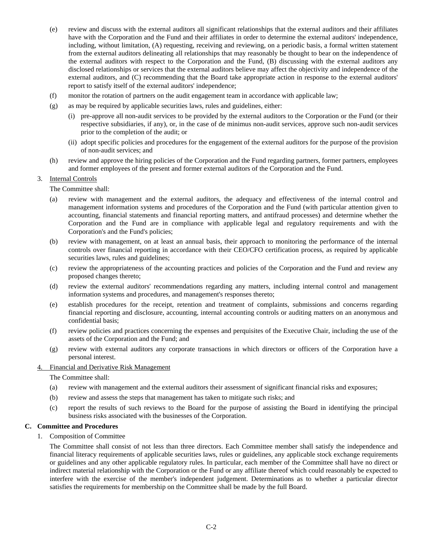- (e) review and discuss with the external auditors all significant relationships that the external auditors and their affiliates have with the Corporation and the Fund and their affiliates in order to determine the external auditors' independence, including, without limitation, (A) requesting, receiving and reviewing, on a periodic basis, a formal written statement from the external auditors delineating all relationships that may reasonably be thought to bear on the independence of the external auditors with respect to the Corporation and the Fund, (B) discussing with the external auditors any disclosed relationships or services that the external auditors believe may affect the objectivity and independence of the external auditors, and (C) recommending that the Board take appropriate action in response to the external auditors' report to satisfy itself of the external auditors' independence;
- (f) monitor the rotation of partners on the audit engagement team in accordance with applicable law;
- (g) as may be required by applicable securities laws, rules and guidelines, either:
	- (i) pre-approve all non-audit services to be provided by the external auditors to the Corporation or the Fund (or their respective subsidiaries, if any), or, in the case of de minimus non-audit services, approve such non-audit services prior to the completion of the audit; or
	- (ii) adopt specific policies and procedures for the engagement of the external auditors for the purpose of the provision of non-audit services; and
- (h) review and approve the hiring policies of the Corporation and the Fund regarding partners, former partners, employees and former employees of the present and former external auditors of the Corporation and the Fund.

#### 3. Internal Controls

The Committee shall:

- (a) review with management and the external auditors, the adequacy and effectiveness of the internal control and management information systems and procedures of the Corporation and the Fund (with particular attention given to accounting, financial statements and financial reporting matters, and antifraud processes) and determine whether the Corporation and the Fund are in compliance with applicable legal and regulatory requirements and with the Corporation's and the Fund's policies;
- (b) review with management, on at least an annual basis, their approach to monitoring the performance of the internal controls over financial reporting in accordance with their CEO/CFO certification process, as required by applicable securities laws, rules and guidelines;
- (c) review the appropriateness of the accounting practices and policies of the Corporation and the Fund and review any proposed changes thereto;
- (d) review the external auditors' recommendations regarding any matters, including internal control and management information systems and procedures, and management's responses thereto;
- (e) establish procedures for the receipt, retention and treatment of complaints, submissions and concerns regarding financial reporting and disclosure, accounting, internal accounting controls or auditing matters on an anonymous and confidential basis;
- (f) review policies and practices concerning the expenses and perquisites of the Executive Chair, including the use of the assets of the Corporation and the Fund; and
- (g) review with external auditors any corporate transactions in which directors or officers of the Corporation have a personal interest.

#### 4. Financial and Derivative Risk Management

The Committee shall:

- (a) review with management and the external auditors their assessment of significant financial risks and exposures;
- (b) review and assess the steps that management has taken to mitigate such risks; and
- (c) report the results of such reviews to the Board for the purpose of assisting the Board in identifying the principal business risks associated with the businesses of the Corporation.

#### **C. Committee and Procedures**

1. Composition of Committee

The Committee shall consist of not less than three directors. Each Committee member shall satisfy the independence and financial literacy requirements of applicable securities laws, rules or guidelines, any applicable stock exchange requirements or guidelines and any other applicable regulatory rules. In particular, each member of the Committee shall have no direct or indirect material relationship with the Corporation or the Fund or any affiliate thereof which could reasonably be expected to interfere with the exercise of the member's independent judgement. Determinations as to whether a particular director satisfies the requirements for membership on the Committee shall be made by the full Board.